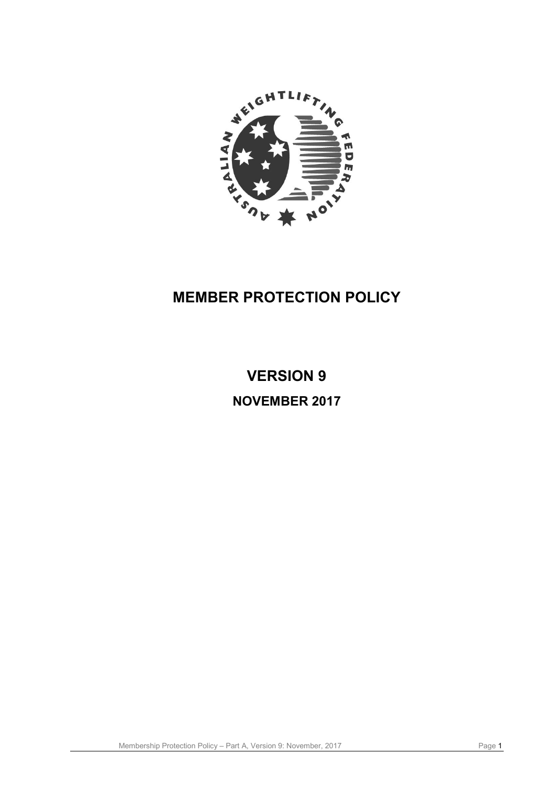

# **MEMBER PROTECTION POLICY**

# **VERSION 9 NOVEMBER 2017**

Membership Protection Policy – Part A, Version 9: November, 2017 Page 1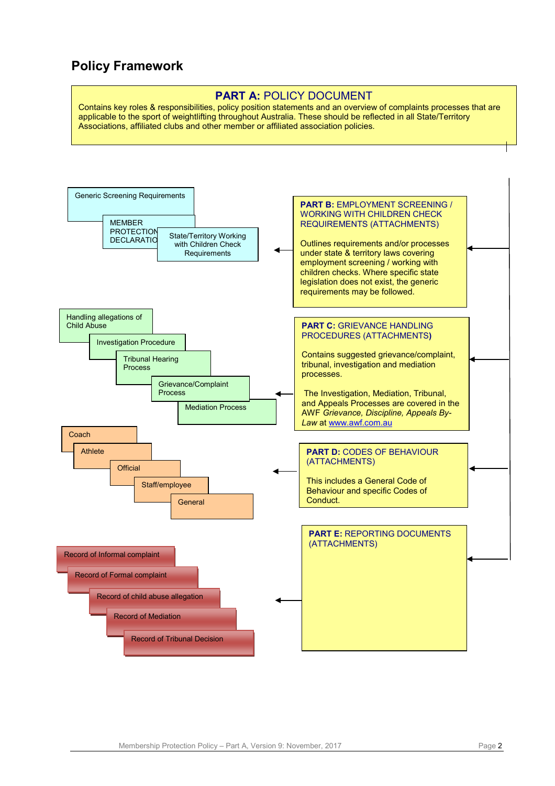# **Policy Framework**

#### **PART A: POLICY DOCUMENT**

Contains key roles & responsibilities, policy position statements and an overview of complaints processes that are applicable to the sport of weightlifting throughout Australia. These should be reflected in all State/Territory Associations, affiliated clubs and other member or affiliated association policies.

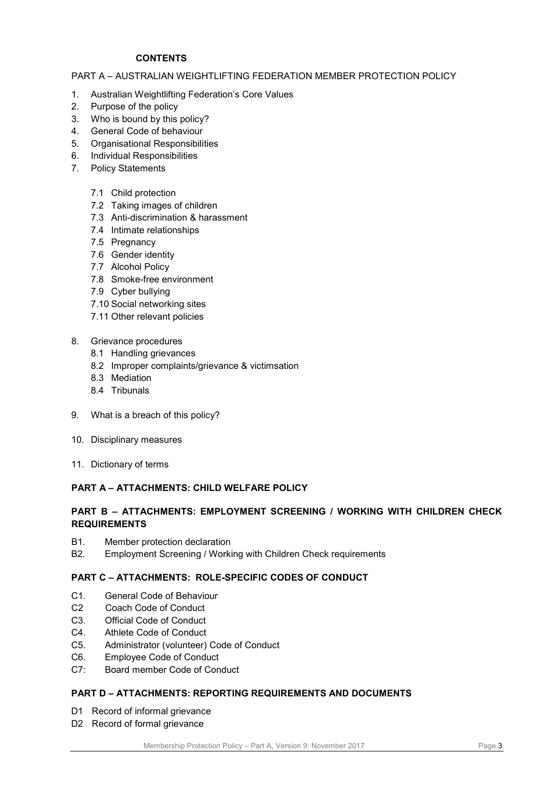#### **CONTENTS**

#### PART A – AUSTRALIAN WEIGHTLIFTING FEDERATION MEMBER PROTECTION POLICY

- 1. Australian Weightlifting Federation's Core Values
- 2. Purpose of the policy
- 3. Who is bound by this policy?
- 4. General Code of behaviour
- 5. Organisational Responsibilities
- 6. Individual Responsibilities
- 7. Policy Statements
	- 7.1 Child protection
	- 7.2 Taking images of children
	- 7.3 Anti-discrimination & harassment
	- 7.4 Intimate relationships
	- 7.5 Pregnancy
	- 7.6 Gender identity
	- 7.7 Alcohol Policy
	- 7.8 Smoke-free environment
	- 7.9 Cyber bullying
	- 7.10 Social networking sites
	- 7.11 Other relevant policies
- 8. Grievance procedures
	- 8.1 Handling grievances
	- 8.2 Improper complaints/grievance & victimsation
	- 8.3 Mediation
	- 8.4 Tribunals
- 9. What is a breach of this policy?
- 10. Disciplinary measures
- 11. Dictionary of terms

#### **PART A – ATTACHMENTS: CHILD WELFARE POLICY**

#### **PART B – ATTACHMENTS: EMPLOYMENT SCREENING / WORKING WITH CHILDREN CHECK REQUIREMENTS**

- B1. Member protection declaration
- B2. Employment Screening / Working with Children Check requirements

### **PART C – ATTACHMENTS: ROLE-SPECIFIC CODES OF CONDUCT**

- C1. General Code of Behaviour
- C2 Coach Code of Conduct
- C3. Official Code of Conduct
- C4. Athlete Code of Conduct
- C5. Administrator (volunteer) Code of Conduct
- C6. Employee Code of Conduct
- C7: Board member Code of Conduct

### **PART D – ATTACHMENTS: REPORTING REQUIREMENTS AND DOCUMENTS**

- D1 Record of informal grievance
- D2 Record of formal grievance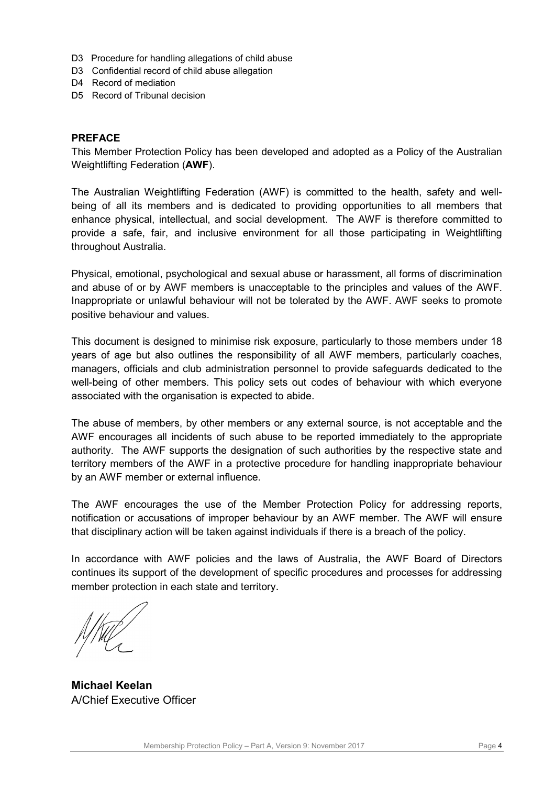- D3 Procedure for handling allegations of child abuse
- D3 Confidential record of child abuse allegation
- D4 Record of mediation
- D5 Record of Tribunal decision

#### **PREFACE**

This Member Protection Policy has been developed and adopted as a Policy of the Australian Weightlifting Federation (**AWF**).

The Australian Weightlifting Federation (AWF) is committed to the health, safety and wellbeing of all its members and is dedicated to providing opportunities to all members that enhance physical, intellectual, and social development. The AWF is therefore committed to provide a safe, fair, and inclusive environment for all those participating in Weightlifting throughout Australia.

Physical, emotional, psychological and sexual abuse or harassment, all forms of discrimination and abuse of or by AWF members is unacceptable to the principles and values of the AWF. Inappropriate or unlawful behaviour will not be tolerated by the AWF. AWF seeks to promote positive behaviour and values.

This document is designed to minimise risk exposure, particularly to those members under 18 years of age but also outlines the responsibility of all AWF members, particularly coaches, managers, officials and club administration personnel to provide safeguards dedicated to the well-being of other members. This policy sets out codes of behaviour with which everyone associated with the organisation is expected to abide.

The abuse of members, by other members or any external source, is not acceptable and the AWF encourages all incidents of such abuse to be reported immediately to the appropriate authority. The AWF supports the designation of such authorities by the respective state and territory members of the AWF in a protective procedure for handling inappropriate behaviour by an AWF member or external influence.

The AWF encourages the use of the Member Protection Policy for addressing reports, notification or accusations of improper behaviour by an AWF member. The AWF will ensure that disciplinary action will be taken against individuals if there is a breach of the policy.

In accordance with AWF policies and the laws of Australia, the AWF Board of Directors continues its support of the development of specific procedures and processes for addressing member protection in each state and territory.

**Michael Keelan** A/Chief Executive Officer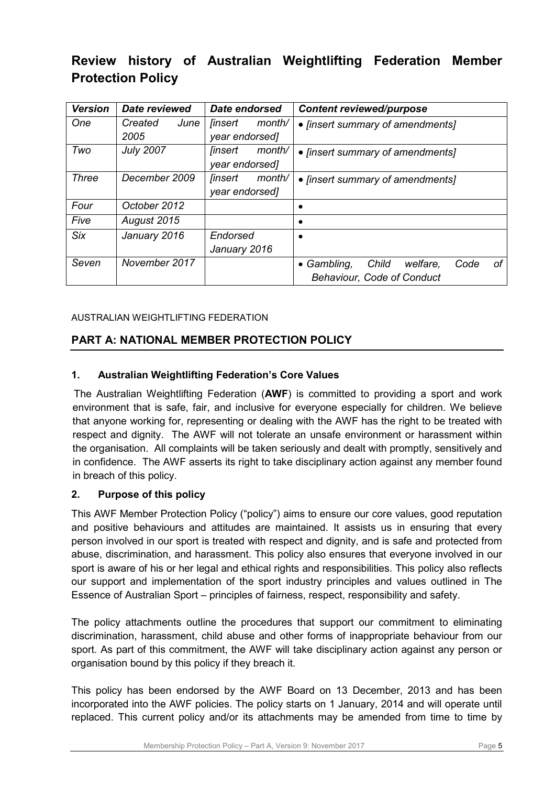# **Review history of Australian Weightlifting Federation Member Protection Policy**

| <b>Version</b> | <b>Date reviewed</b> | Date endorsed                   | <b>Content reviewed/purpose</b>                |
|----------------|----------------------|---------------------------------|------------------------------------------------|
| One            | Created<br>June      | month/<br><i><b>finsert</b></i> | • [insert summary of amendments]               |
|                | 2005                 | year endorsed]                  |                                                |
| Two            | <b>July 2007</b>     | month/<br>linsert               | • [insert summary of amendments]               |
|                |                      | year endorsed]                  |                                                |
| <b>Three</b>   | December 2009        | month/<br><i><b>finsert</b></i> | • [insert summary of amendments]               |
|                |                      | year endorsed]                  |                                                |
| Four           | October 2012         |                                 |                                                |
| Five           | August 2015          |                                 |                                                |
| <b>Six</b>     | January 2016         | Endorsed                        |                                                |
|                |                      | January 2016                    |                                                |
| Seven          | November 2017        |                                 | • Gambling,<br>Child<br>welfare,<br>οf<br>Code |
|                |                      |                                 | <b>Behaviour, Code of Conduct</b>              |

# AUSTRALIAN WEIGHTLIFTING FEDERATION

# **PART A: NATIONAL MEMBER PROTECTION POLICY**

# **1. Australian Weightlifting Federation's Core Values**

The Australian Weightlifting Federation (**AWF**) is committed to providing a sport and work environment that is safe, fair, and inclusive for everyone especially for children. We believe that anyone working for, representing or dealing with the AWF has the right to be treated with respect and dignity. The AWF will not tolerate an unsafe environment or harassment within the organisation. All complaints will be taken seriously and dealt with promptly, sensitively and in confidence. The AWF asserts its right to take disciplinary action against any member found in breach of this policy.

# **2. Purpose of this policy**

This AWF Member Protection Policy ("policy") aims to ensure our core values, good reputation and positive behaviours and attitudes are maintained. It assists us in ensuring that every person involved in our sport is treated with respect and dignity, and is safe and protected from abuse, discrimination, and harassment. This policy also ensures that everyone involved in our sport is aware of his or her legal and ethical rights and responsibilities. This policy also reflects our support and implementation of the sport industry principles and values outlined in The Essence of Australian Sport – principles of fairness, respect, responsibility and safety.

The policy attachments outline the procedures that support our commitment to eliminating discrimination, harassment, child abuse and other forms of inappropriate behaviour from our sport. As part of this commitment, the AWF will take disciplinary action against any person or organisation bound by this policy if they breach it.

This policy has been endorsed by the AWF Board on 13 December, 2013 and has been incorporated into the AWF policies. The policy starts on 1 January, 2014 and will operate until replaced. This current policy and/or its attachments may be amended from time to time by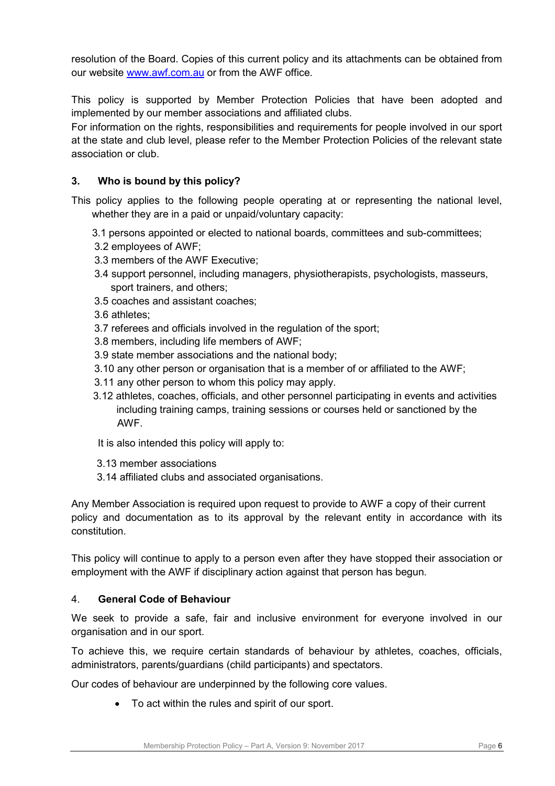resolution of the Board. Copies of this current policy and its attachments can be obtained from our website [www.awf.com.au](http://www.awf.com.au/) or from the AWF office.

This policy is supported by Member Protection Policies that have been adopted and implemented by our member associations and affiliated clubs.

For information on the rights, responsibilities and requirements for people involved in our sport at the state and club level, please refer to the Member Protection Policies of the relevant state association or club.

# **3. Who is bound by this policy?**

This policy applies to the following people operating at or representing the national level, whether they are in a paid or unpaid/voluntary capacity:

- 3.1 persons appointed or elected to national boards, committees and sub-committees;
- 3.2 employees of AWF;
- 3.3 members of the AWF Executive;
- 3.4 support personnel, including managers, physiotherapists, psychologists, masseurs, sport trainers, and others;
- 3.5 coaches and assistant coaches;
- 3.6 athletes;
- 3.7 referees and officials involved in the regulation of the sport;
- 3.8 members, including life members of AWF;
- 3.9 state member associations and the national body;
- 3.10 any other person or organisation that is a member of or affiliated to the AWF;
- 3.11 any other person to whom this policy may apply.
- 3.12 athletes, coaches, officials, and other personnel participating in events and activities including training camps, training sessions or courses held or sanctioned by the AWF.

It is also intended this policy will apply to:

- 3.13 member associations
- 3.14 affiliated clubs and associated organisations.

Any Member Association is required upon request to provide to AWF a copy of their current policy and documentation as to its approval by the relevant entity in accordance with its constitution.

This policy will continue to apply to a person even after they have stopped their association or employment with the AWF if disciplinary action against that person has begun.

## 4. **General Code of Behaviour**

We seek to provide a safe, fair and inclusive environment for everyone involved in our organisation and in our sport.

To achieve this, we require certain standards of behaviour by athletes, coaches, officials, administrators, parents/guardians (child participants) and spectators.

Our codes of behaviour are underpinned by the following core values.

• To act within the rules and spirit of our sport.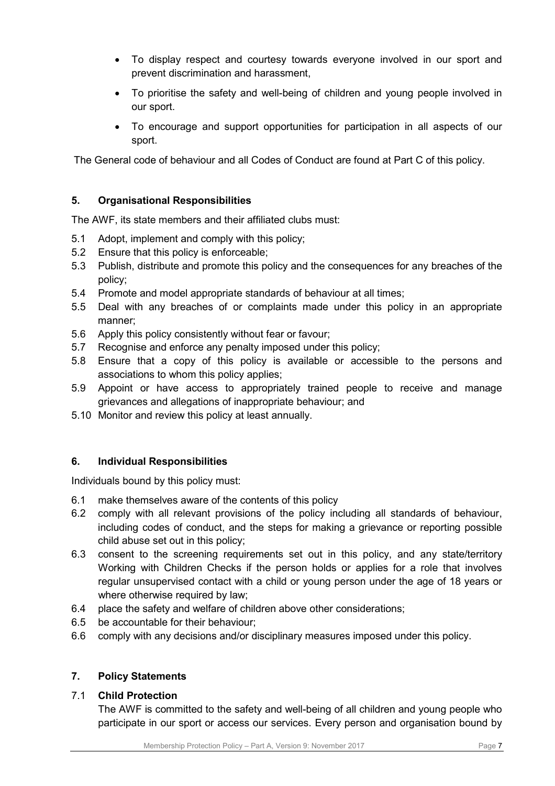- To display respect and courtesy towards everyone involved in our sport and prevent discrimination and harassment,
- To prioritise the safety and well-being of children and young people involved in our sport.
- To encourage and support opportunities for participation in all aspects of our sport.

The General code of behaviour and all Codes of Conduct are found at Part C of this policy.

# **5. Organisational Responsibilities**

The AWF, its state members and their affiliated clubs must:

- 5.1 Adopt, implement and comply with this policy;
- 5.2 Ensure that this policy is enforceable;
- 5.3 Publish, distribute and promote this policy and the consequences for any breaches of the policy;
- 5.4 Promote and model appropriate standards of behaviour at all times;
- 5.5 Deal with any breaches of or complaints made under this policy in an appropriate manner;
- 5.6 Apply this policy consistently without fear or favour;
- 5.7 Recognise and enforce any penalty imposed under this policy;
- 5.8 Ensure that a copy of this policy is available or accessible to the persons and associations to whom this policy applies;
- 5.9 Appoint or have access to appropriately trained people to receive and manage grievances and allegations of inappropriate behaviour; and
- 5.10 Monitor and review this policy at least annually.

# **6. Individual Responsibilities**

Individuals bound by this policy must:

- 6.1 make themselves aware of the contents of this policy
- 6.2 comply with all relevant provisions of the policy including all standards of behaviour, including codes of conduct, and the steps for making a grievance or reporting possible child abuse set out in this policy;
- 6.3 consent to the screening requirements set out in this policy, and any state/territory Working with Children Checks if the person holds or applies for a role that involves regular unsupervised contact with a child or young person under the age of 18 years or where otherwise required by law;
- 6.4 place the safety and welfare of children above other considerations;
- 6.5 be accountable for their behaviour;
- 6.6 comply with any decisions and/or disciplinary measures imposed under this policy.

# **7. Policy Statements**

### 7.1 **Child Protection**

The AWF is committed to the safety and well-being of all children and young people who participate in our sport or access our services. Every person and organisation bound by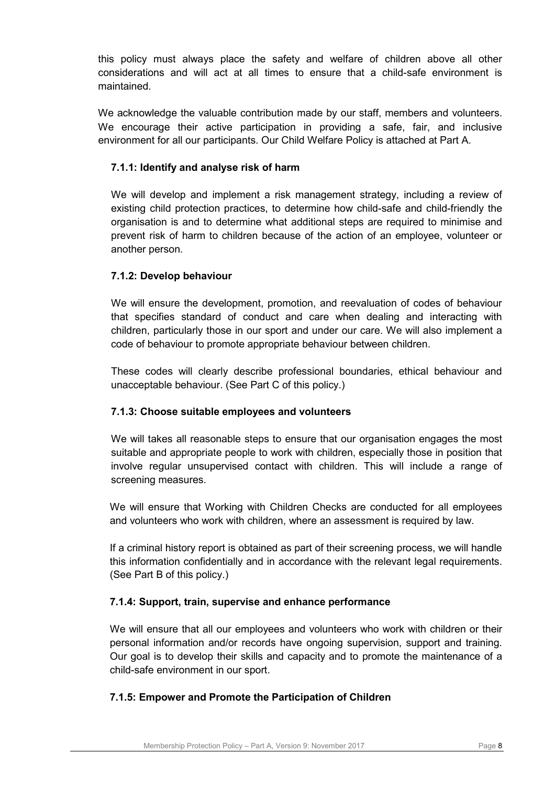this policy must always place the safety and welfare of children above all other considerations and will act at all times to ensure that a child-safe environment is maintained.

We acknowledge the valuable contribution made by our staff, members and volunteers. We encourage their active participation in providing a safe, fair, and inclusive environment for all our participants. Our Child Welfare Policy is attached at Part A.

# **7.1.1: Identify and analyse risk of harm**

We will develop and implement a risk management strategy, including a review of existing child protection practices, to determine how child-safe and child-friendly the organisation is and to determine what additional steps are required to minimise and prevent risk of harm to children because of the action of an employee, volunteer or another person.

# **7.1.2: Develop behaviour**

We will ensure the development, promotion, and reevaluation of codes of behaviour that specifies standard of conduct and care when dealing and interacting with children, particularly those in our sport and under our care. We will also implement a code of behaviour to promote appropriate behaviour between children.

These codes will clearly describe professional boundaries, ethical behaviour and unacceptable behaviour. (See Part C of this policy.)

# **7.1.3: Choose suitable employees and volunteers**

We will takes all reasonable steps to ensure that our organisation engages the most suitable and appropriate people to work with children, especially those in position that involve regular unsupervised contact with children. This will include a range of screening measures.

We will ensure that Working with Children Checks are conducted for all employees and volunteers who work with children, where an assessment is required by law.

If a criminal history report is obtained as part of their screening process, we will handle this information confidentially and in accordance with the relevant legal requirements. (See Part B of this policy.)

# **7.1.4: Support, train, supervise and enhance performance**

We will ensure that all our employees and volunteers who work with children or their personal information and/or records have ongoing supervision, support and training. Our goal is to develop their skills and capacity and to promote the maintenance of a child-safe environment in our sport.

# **7.1.5: Empower and Promote the Participation of Children**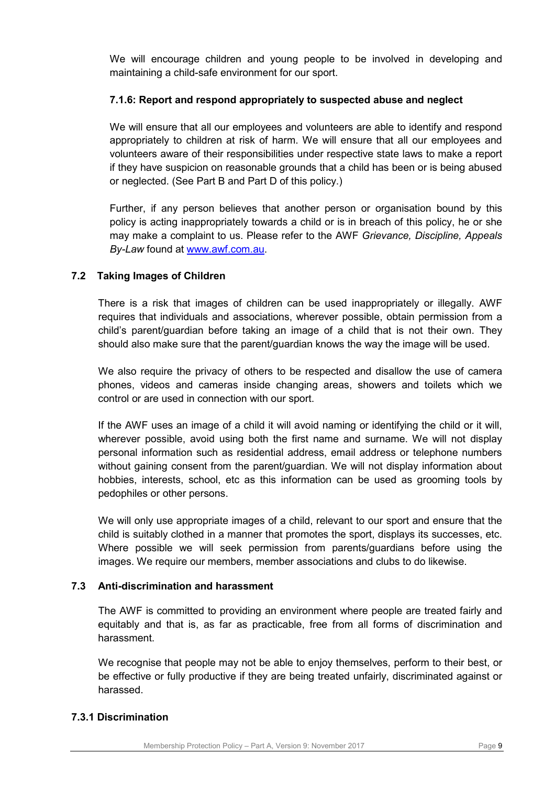We will encourage children and young people to be involved in developing and maintaining a child-safe environment for our sport.

# **7.1.6: Report and respond appropriately to suspected abuse and neglect**

We will ensure that all our employees and volunteers are able to identify and respond appropriately to children at risk of harm. We will ensure that all our employees and volunteers aware of their responsibilities under respective state laws to make a report if they have suspicion on reasonable grounds that a child has been or is being abused or neglected. (See Part B and Part D of this policy.)

Further, if any person believes that another person or organisation bound by this policy is acting inappropriately towards a child or is in breach of this policy, he or she may make a complaint to us. Please refer to the AWF *Grievance, Discipline, Appeals By-Law* found at [www.awf.com.au.](http://www.awf.com.au/)

# **7.2 Taking Images of Children**

There is a risk that images of children can be used inappropriately or illegally. AWF requires that individuals and associations, wherever possible, obtain permission from a child's parent/guardian before taking an image of a child that is not their own. They should also make sure that the parent/guardian knows the way the image will be used.

We also require the privacy of others to be respected and disallow the use of camera phones, videos and cameras inside changing areas, showers and toilets which we control or are used in connection with our sport.

If the AWF uses an image of a child it will avoid naming or identifying the child or it will, wherever possible, avoid using both the first name and surname. We will not display personal information such as residential address, email address or telephone numbers without gaining consent from the parent/guardian. We will not display information about hobbies, interests, school, etc as this information can be used as grooming tools by pedophiles or other persons.

We will only use appropriate images of a child, relevant to our sport and ensure that the child is suitably clothed in a manner that promotes the sport, displays its successes, etc. Where possible we will seek permission from parents/guardians before using the images. We require our members, member associations and clubs to do likewise.

# **7.3 Anti-discrimination and harassment**

The AWF is committed to providing an environment where people are treated fairly and equitably and that is, as far as practicable, free from all forms of discrimination and harassment.

We recognise that people may not be able to enjoy themselves, perform to their best, or be effective or fully productive if they are being treated unfairly, discriminated against or harassed.

# **7.3.1 Discrimination**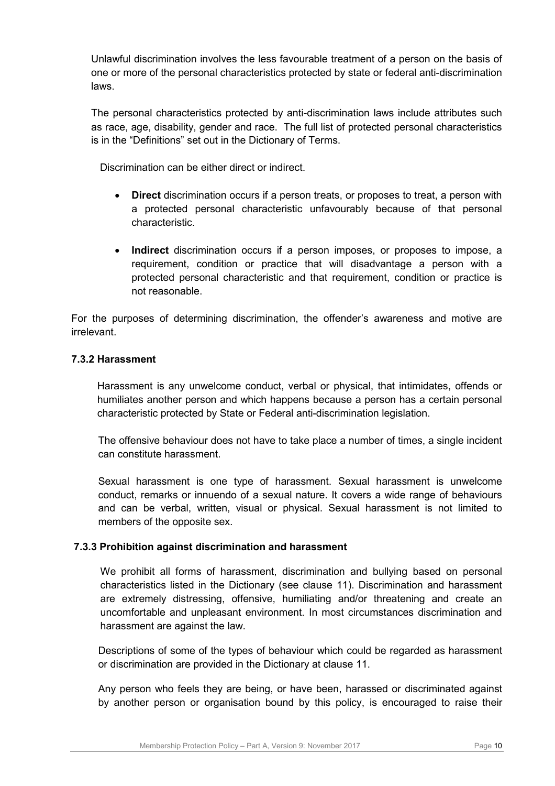Unlawful discrimination involves the less favourable treatment of a person on the basis of one or more of the personal characteristics protected by state or federal anti-discrimination laws.

The personal characteristics protected by anti-discrimination laws include attributes such as race, age, disability, gender and race. The full list of protected personal characteristics is in the "Definitions" set out in the Dictionary of Terms.

Discrimination can be either direct or indirect.

- **Direct** discrimination occurs if a person treats, or proposes to treat, a person with a protected personal characteristic unfavourably because of that personal characteristic.
- **Indirect** discrimination occurs if a person imposes, or proposes to impose, a requirement, condition or practice that will disadvantage a person with a protected personal characteristic and that requirement, condition or practice is not reasonable.

For the purposes of determining discrimination, the offender's awareness and motive are irrelevant.

# **7.3.2 Harassment**

Harassment is any unwelcome conduct, verbal or physical, that intimidates, offends or humiliates another person and which happens because a person has a certain personal characteristic protected by State or Federal anti-discrimination legislation.

The offensive behaviour does not have to take place a number of times, a single incident can constitute harassment.

Sexual harassment is one type of harassment. Sexual harassment is unwelcome conduct, remarks or innuendo of a sexual nature. It covers a wide range of behaviours and can be verbal, written, visual or physical. Sexual harassment is not limited to members of the opposite sex.

# **7.3.3 Prohibition against discrimination and harassment**

We prohibit all forms of harassment, discrimination and bullying based on personal characteristics listed in the Dictionary (see clause 11). Discrimination and harassment are extremely distressing, offensive, humiliating and/or threatening and create an uncomfortable and unpleasant environment. In most circumstances discrimination and harassment are against the law.

Descriptions of some of the types of behaviour which could be regarded as harassment or discrimination are provided in the Dictionary at clause 11.

Any person who feels they are being, or have been, harassed or discriminated against by another person or organisation bound by this policy, is encouraged to raise their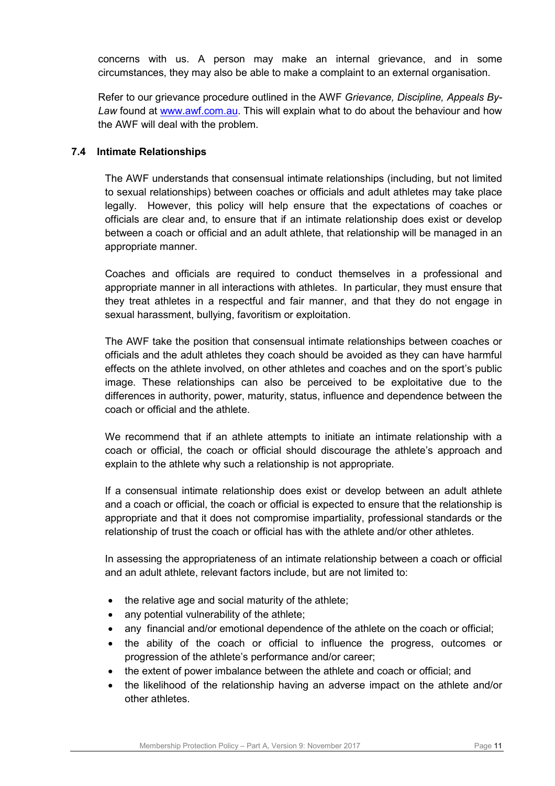concerns with us. A person may make an internal grievance, and in some circumstances, they may also be able to make a complaint to an external organisation.

Refer to our grievance procedure outlined in the AWF *Grievance, Discipline, Appeals By-Law* found at [www.awf.com.au.](http://www.awf.com.au/) This will explain what to do about the behaviour and how the AWF will deal with the problem.

# **7.4 Intimate Relationships**

The AWF understands that consensual intimate relationships (including, but not limited to sexual relationships) between coaches or officials and adult athletes may take place legally. However, this policy will help ensure that the expectations of coaches or officials are clear and, to ensure that if an intimate relationship does exist or develop between a coach or official and an adult athlete, that relationship will be managed in an appropriate manner.

Coaches and officials are required to conduct themselves in a professional and appropriate manner in all interactions with athletes. In particular, they must ensure that they treat athletes in a respectful and fair manner, and that they do not engage in sexual harassment, bullying, favoritism or exploitation.

The AWF take the position that consensual intimate relationships between coaches or officials and the adult athletes they coach should be avoided as they can have harmful effects on the athlete involved, on other athletes and coaches and on the sport's public image. These relationships can also be perceived to be exploitative due to the differences in authority, power, maturity, status, influence and dependence between the coach or official and the athlete.

We recommend that if an athlete attempts to initiate an intimate relationship with a coach or official, the coach or official should discourage the athlete's approach and explain to the athlete why such a relationship is not appropriate.

If a consensual intimate relationship does exist or develop between an adult athlete and a coach or official, the coach or official is expected to ensure that the relationship is appropriate and that it does not compromise impartiality, professional standards or the relationship of trust the coach or official has with the athlete and/or other athletes.

In assessing the appropriateness of an intimate relationship between a coach or official and an adult athlete, relevant factors include, but are not limited to:

- the relative age and social maturity of the athlete;
- any potential vulnerability of the athlete;
- any financial and/or emotional dependence of the athlete on the coach or official;
- the ability of the coach or official to influence the progress, outcomes or progression of the athlete's performance and/or career;
- the extent of power imbalance between the athlete and coach or official; and
- the likelihood of the relationship having an adverse impact on the athlete and/or other athletes.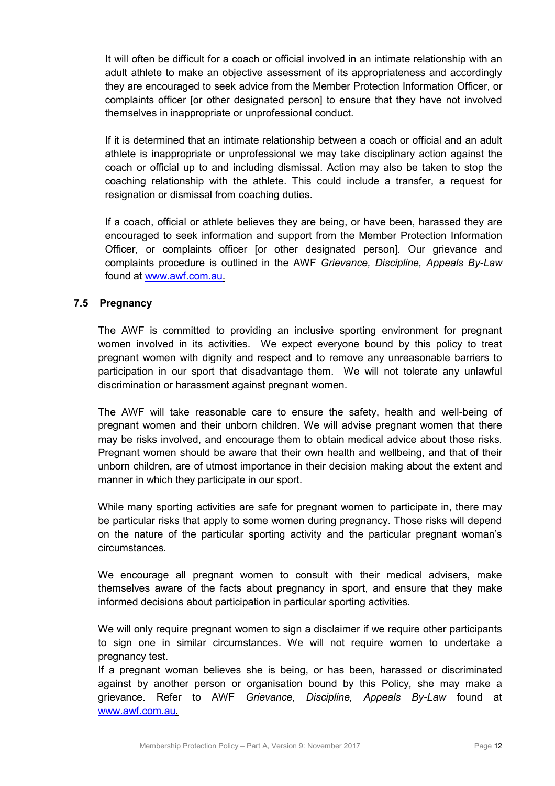It will often be difficult for a coach or official involved in an intimate relationship with an adult athlete to make an objective assessment of its appropriateness and accordingly they are encouraged to seek advice from the Member Protection Information Officer, or complaints officer [or other designated person] to ensure that they have not involved themselves in inappropriate or unprofessional conduct.

If it is determined that an intimate relationship between a coach or official and an adult athlete is inappropriate or unprofessional we may take disciplinary action against the coach or official up to and including dismissal. Action may also be taken to stop the coaching relationship with the athlete. This could include a transfer, a request for resignation or dismissal from coaching duties.

If a coach, official or athlete believes they are being, or have been, harassed they are encouraged to seek information and support from the Member Protection Information Officer, or complaints officer [or other designated person]. Our grievance and complaints procedure is outlined in the AWF *Grievance, Discipline, Appeals By-Law* found at [www.awf.com.au.](http://www.awf.com.au/)

# **7.5 Pregnancy**

The AWF is committed to providing an inclusive sporting environment for pregnant women involved in its activities. We expect everyone bound by this policy to treat pregnant women with dignity and respect and to remove any unreasonable barriers to participation in our sport that disadvantage them. We will not tolerate any unlawful discrimination or harassment against pregnant women.

The AWF will take reasonable care to ensure the safety, health and well-being of pregnant women and their unborn children. We will advise pregnant women that there may be risks involved, and encourage them to obtain medical advice about those risks. Pregnant women should be aware that their own health and wellbeing, and that of their unborn children, are of utmost importance in their decision making about the extent and manner in which they participate in our sport.

While many sporting activities are safe for pregnant women to participate in, there may be particular risks that apply to some women during pregnancy. Those risks will depend on the nature of the particular sporting activity and the particular pregnant woman's circumstances.

We encourage all pregnant women to consult with their medical advisers, make themselves aware of the facts about pregnancy in sport, and ensure that they make informed decisions about participation in particular sporting activities.

We will only require pregnant women to sign a disclaimer if we require other participants to sign one in similar circumstances. We will not require women to undertake a pregnancy test.

If a pregnant woman believes she is being, or has been, harassed or discriminated against by another person or organisation bound by this Policy, she may make a grievance. Refer to AWF *Grievance, Discipline, Appeals By-Law* found at [www.awf.com.au.](http://www.awf.com.au/)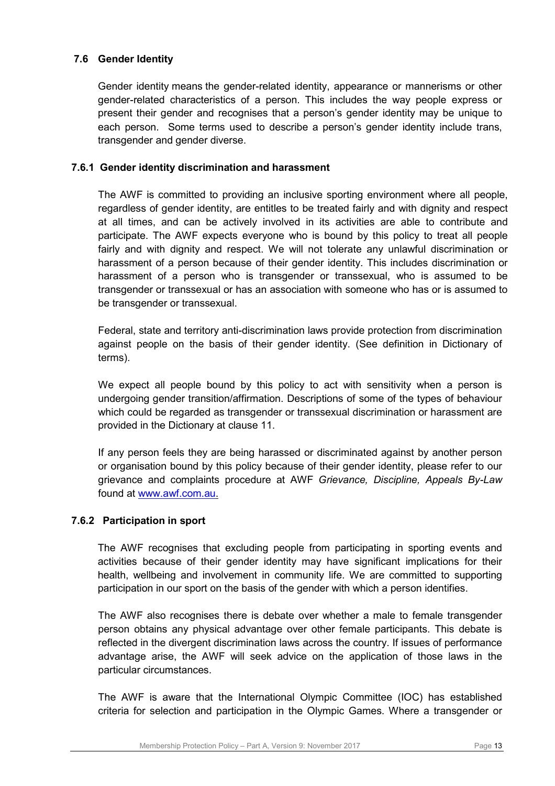# **7.6 Gender Identity**

Gender identity means the gender-related identity, appearance or mannerisms or other gender-related characteristics of a person. This includes the way people express or present their gender and recognises that a person's gender identity may be unique to each person. Some terms used to describe a person's gender identity include trans, transgender and gender diverse.

## **7.6.1 Gender identity discrimination and harassment**

The AWF is committed to providing an inclusive sporting environment where all people, regardless of gender identity, are entitles to be treated fairly and with dignity and respect at all times, and can be actively involved in its activities are able to contribute and participate. The AWF expects everyone who is bound by this policy to treat all people fairly and with dignity and respect. We will not tolerate any unlawful discrimination or harassment of a person because of their gender identity. This includes discrimination or harassment of a person who is transgender or transsexual, who is assumed to be transgender or transsexual or has an association with someone who has or is assumed to be transgender or transsexual.

Federal, state and territory anti-discrimination laws provide protection from discrimination against people on the basis of their gender identity. (See definition in Dictionary of terms).

We expect all people bound by this policy to act with sensitivity when a person is undergoing gender transition/affirmation. Descriptions of some of the types of behaviour which could be regarded as transgender or transsexual discrimination or harassment are provided in the Dictionary at clause 11.

If any person feels they are being harassed or discriminated against by another person or organisation bound by this policy because of their gender identity, please refer to our grievance and complaints procedure at AWF *Grievance, Discipline, Appeals By-Law* found at [www.awf.com.au.](http://www.awf.com.au/)

### **7.6.2 Participation in sport**

The AWF recognises that excluding people from participating in sporting events and activities because of their gender identity may have significant implications for their health, wellbeing and involvement in community life. We are committed to supporting participation in our sport on the basis of the gender with which a person identifies.

The AWF also recognises there is debate over whether a male to female transgender person obtains any physical advantage over other female participants. This debate is reflected in the divergent discrimination laws across the country. If issues of performance advantage arise, the AWF will seek advice on the application of those laws in the particular circumstances.

The AWF is aware that the International Olympic Committee (IOC) has established criteria for selection and participation in the Olympic Games. Where a transgender or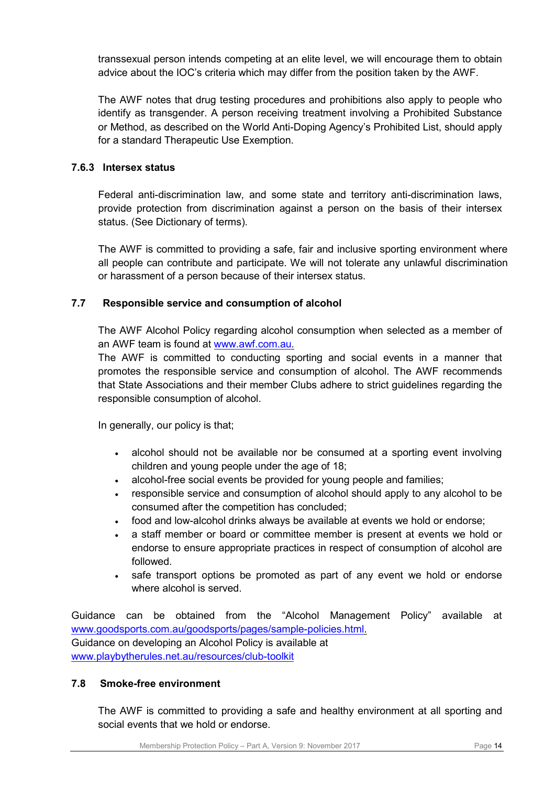transsexual person intends competing at an elite level, we will encourage them to obtain advice about the IOC's criteria which may differ from the position taken by the AWF.

The AWF notes that drug testing procedures and prohibitions also apply to people who identify as transgender. A person receiving treatment involving a Prohibited Substance or Method, as described on the World Anti-Doping Agency's Prohibited List, should apply for a standard Therapeutic Use Exemption.

# **7.6.3 Intersex status**

Federal anti-discrimination law, and some state and territory anti-discrimination laws, provide protection from discrimination against a person on the basis of their intersex status. (See Dictionary of terms).

The AWF is committed to providing a safe, fair and inclusive sporting environment where all people can contribute and participate. We will not tolerate any unlawful discrimination or harassment of a person because of their intersex status.

# **7.7 Responsible service and consumption of alcohol**

The AWF Alcohol Policy regarding alcohol consumption when selected as a member of an AWF team is found at [www.awf.com.au](http://www.awf.com.au/)*.*

The AWF is committed to conducting sporting and social events in a manner that promotes the responsible service and consumption of alcohol. The AWF recommends that State Associations and their member Clubs adhere to strict guidelines regarding the responsible consumption of alcohol.

In generally, our policy is that;

- alcohol should not be available nor be consumed at a sporting event involving children and young people under the age of 18;
- alcohol-free social events be provided for young people and families;
- responsible service and consumption of alcohol should apply to any alcohol to be consumed after the competition has concluded;
- food and low-alcohol drinks always be available at events we hold or endorse;
- a staff member or board or committee member is present at events we hold or endorse to ensure appropriate practices in respect of consumption of alcohol are followed.
- safe transport options be promoted as part of any event we hold or endorse where alcohol is served.

Guidance can be obtained from the "Alcohol Management Policy" available at [www.goodsports.com.au/goodsports/pages/sample-policies.html.](http://www.goodsports.com.au/goodsports/pages/sample-policies.html) Guidance on developing an Alcohol Policy is available at [www.playbytherules.net.au/resources/club-toolkit](http://www.playbytherules.net.au/resources/club-toolkit)

# **7.8 Smoke-free environment**

The AWF is committed to providing a safe and healthy environment at all sporting and social events that we hold or endorse.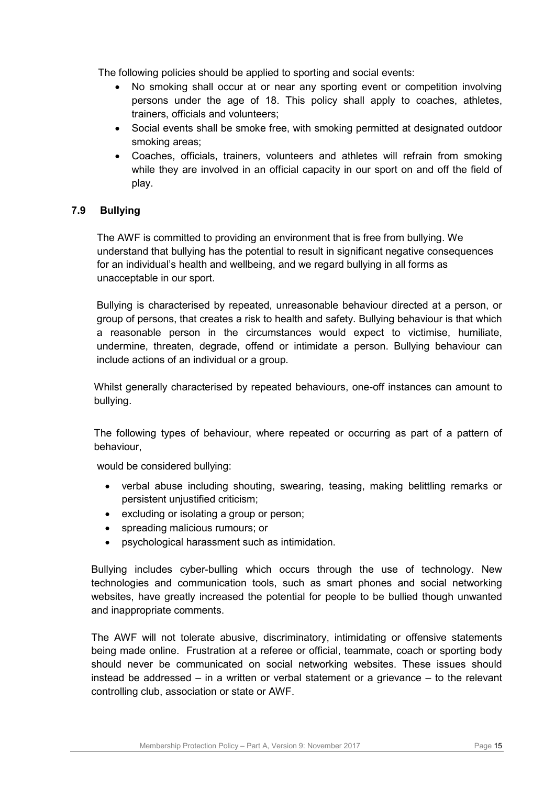The following policies should be applied to sporting and social events:

- No smoking shall occur at or near any sporting event or competition involving persons under the age of 18. This policy shall apply to coaches, athletes, trainers, officials and volunteers;
- Social events shall be smoke free, with smoking permitted at designated outdoor smoking areas;
- Coaches, officials, trainers, volunteers and athletes will refrain from smoking while they are involved in an official capacity in our sport on and off the field of play.

# **7.9 Bullying**

 The AWF is committed to providing an environment that is free from bullying. We understand that bullying has the potential to result in significant negative consequences for an individual's health and wellbeing, and we regard bullying in all forms as unacceptable in our sport.

Bullying is characterised by repeated, unreasonable behaviour directed at a person, or group of persons, that creates a risk to health and safety. Bullying behaviour is that which a reasonable person in the circumstances would expect to victimise, humiliate, undermine, threaten, degrade, offend or intimidate a person. Bullying behaviour can include actions of an individual or a group.

Whilst generally characterised by repeated behaviours, one-off instances can amount to bullying.

The following types of behaviour, where repeated or occurring as part of a pattern of behaviour,

would be considered bullying:

- verbal abuse including shouting, swearing, teasing, making belittling remarks or persistent unjustified criticism;
- excluding or isolating a group or person;
- spreading malicious rumours; or
- psychological harassment such as intimidation.

Bullying includes cyber-bulling which occurs through the use of technology. New technologies and communication tools, such as smart phones and social networking websites, have greatly increased the potential for people to be bullied though unwanted and inappropriate comments.

The AWF will not tolerate abusive, discriminatory, intimidating or offensive statements being made online. Frustration at a referee or official, teammate, coach or sporting body should never be communicated on social networking websites. These issues should instead be addressed – in a written or verbal statement or a grievance – to the relevant controlling club, association or state or AWF.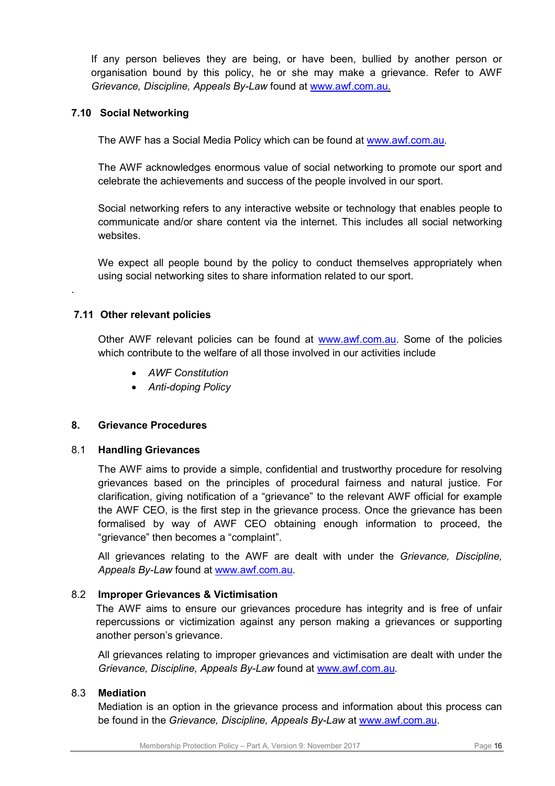If any person believes they are being, or have been, bullied by another person or organisation bound by this policy, he or she may make a grievance. Refer to AWF *Grievance, Discipline, Appeals By-Law* found at [www.awf.com.au.](http://www.awf.com.au/)

# **7.10 Social Networking**

The AWF has a Social Media Policy which can be found at [www.awf.com.au](http://www.awf.com.au/)*.*

The AWF acknowledges enormous value of social networking to promote our sport and celebrate the achievements and success of the people involved in our sport.

Social networking refers to any interactive website or technology that enables people to communicate and/or share content via the internet. This includes all social networking websites.

We expect all people bound by the policy to conduct themselves appropriately when using social networking sites to share information related to our sport.

# **7.11 Other relevant policies**

.

Other AWF relevant policies can be found at [www.awf.com.au.](http://www.awf.com.au/) Some of the policies which contribute to the welfare of all those involved in our activities include

- *AWF Constitution*
- *Anti-doping Policy*

### **8. Grievance Procedures**

### 8.1 **Handling Grievances**

The AWF aims to provide a simple, confidential and trustworthy procedure for resolving grievances based on the principles of procedural fairness and natural justice. For clarification, giving notification of a "grievance" to the relevant AWF official for example the AWF CEO, is the first step in the grievance process. Once the grievance has been formalised by way of AWF CEO obtaining enough information to proceed, the "grievance" then becomes a "complaint".

All grievances relating to the AWF are dealt with under the *Grievance, Discipline, Appeals By-Law* found at [www.awf.com.au](http://www.awf.com.au/)*.*

### 8.2 **Improper Grievances & Victimisation**

The AWF aims to ensure our grievances procedure has integrity and is free of unfair repercussions or victimization against any person making a grievances or supporting another person's grievance.

All grievances relating to improper grievances and victimisation are dealt with under the *Grievance, Discipline, Appeals By-Law* found at [www.awf.com.au](http://www.awf.com.au/)*.*

### 8.3 **Mediation**

Mediation is an option in the grievance process and information about this process can be found in the *Grievance, Discipline, Appeals By-Law* at [www.awf.com.au.](http://www.awf.com.au/)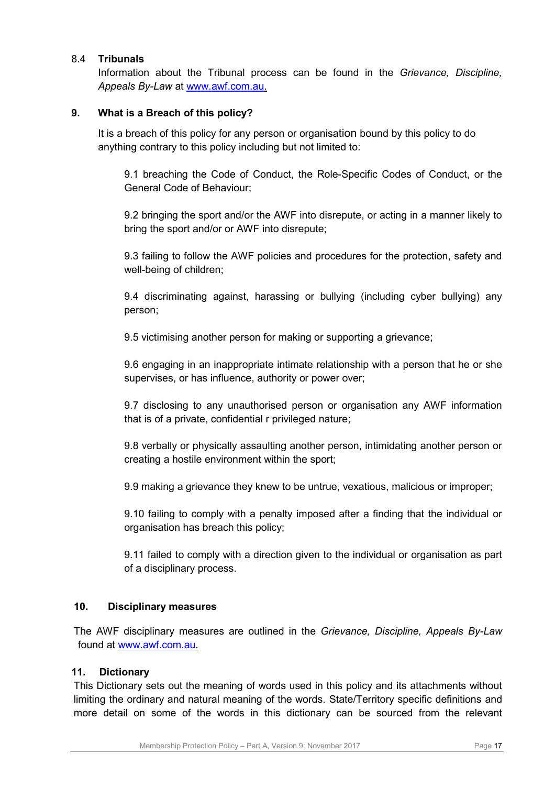# 8.4 **Tribunals**

Information about the Tribunal process can be found in the *Grievance, Discipline, Appeals By-Law* at [www.awf.com.au.](http://www.awf.com.au/)

# **9. What is a Breach of this policy?**

It is a breach of this policy for any person or organisation bound by this policy to do anything contrary to this policy including but not limited to:

9.1 breaching the Code of Conduct, the Role-Specific Codes of Conduct, or the General Code of Behaviour;

9.2 bringing the sport and/or the AWF into disrepute, or acting in a manner likely to bring the sport and/or or AWF into disrepute;

9.3 failing to follow the AWF policies and procedures for the protection, safety and well-being of children;

9.4 discriminating against, harassing or bullying (including cyber bullying) any person;

9.5 victimising another person for making or supporting a grievance;

9.6 engaging in an inappropriate intimate relationship with a person that he or she supervises, or has influence, authority or power over;

9.7 disclosing to any unauthorised person or organisation any AWF information that is of a private, confidential r privileged nature;

9.8 verbally or physically assaulting another person, intimidating another person or creating a hostile environment within the sport;

9.9 making a grievance they knew to be untrue, vexatious, malicious or improper;

9.10 failing to comply with a penalty imposed after a finding that the individual or organisation has breach this policy;

9.11 failed to comply with a direction given to the individual or organisation as part of a disciplinary process.

### **10. Disciplinary measures**

The AWF disciplinary measures are outlined in the *Grievance, Discipline, Appeals By-Law* found at [www.awf.com.au.](http://www.awf.com.au/)

### **11. Dictionary**

This Dictionary sets out the meaning of words used in this policy and its attachments without limiting the ordinary and natural meaning of the words. State/Territory specific definitions and more detail on some of the words in this dictionary can be sourced from the relevant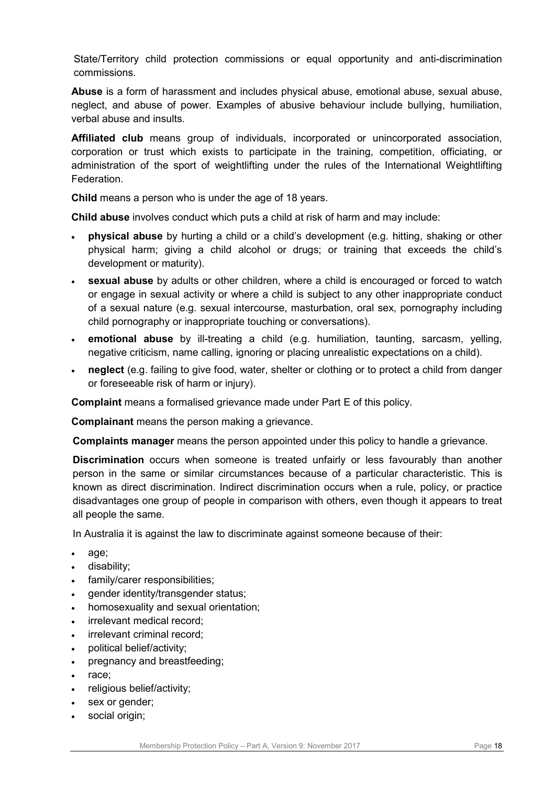State/Territory child protection commissions or equal opportunity and anti-discrimination commissions.

**Abuse** is a form of harassment and includes physical abuse, emotional abuse, sexual abuse, neglect, and abuse of power. Examples of abusive behaviour include bullying, humiliation, verbal abuse and insults.

**Affiliated club** means group of individuals, incorporated or unincorporated association, corporation or trust which exists to participate in the training, competition, officiating, or administration of the sport of weightlifting under the rules of the International Weightlifting Federation.

**Child** means a person who is under the age of 18 years.

**Child abuse** involves conduct which puts a child at risk of harm and may include:

- **physical abuse** by hurting a child or a child's development (e.g. hitting, shaking or other physical harm; giving a child alcohol or drugs; or training that exceeds the child's development or maturity).
- **sexual abuse** by adults or other children, where a child is encouraged or forced to watch or engage in sexual activity or where a child is subject to any other inappropriate conduct of a sexual nature (e.g. sexual intercourse, masturbation, oral sex, pornography including child pornography or inappropriate touching or conversations).
- **emotional abuse** by ill-treating a child (e.g. humiliation, taunting, sarcasm, yelling, negative criticism, name calling, ignoring or placing unrealistic expectations on a child).
- **neglect** (e.g. failing to give food, water, shelter or clothing or to protect a child from danger or foreseeable risk of harm or injury).

**Complaint** means a formalised grievance made under Part E of this policy.

**Complainant** means the person making a grievance.

**Complaints manager** means the person appointed under this policy to handle a grievance.

**Discrimination** occurs when someone is treated unfairly or less favourably than another person in the same or similar circumstances because of a particular characteristic. This is known as direct discrimination. Indirect discrimination occurs when a rule, policy, or practice disadvantages one group of people in comparison with others, even though it appears to treat all people the same.

In Australia it is against the law to discriminate against someone because of their:

- age;
- disability;
- family/carer responsibilities;
- gender identity/transgender status;
- homosexuality and sexual orientation;
- irrelevant medical record;
- irrelevant criminal record:
- political belief/activity;
- pregnancy and breastfeeding;
- race;
- religious belief/activity;
- sex or gender;
- social origin;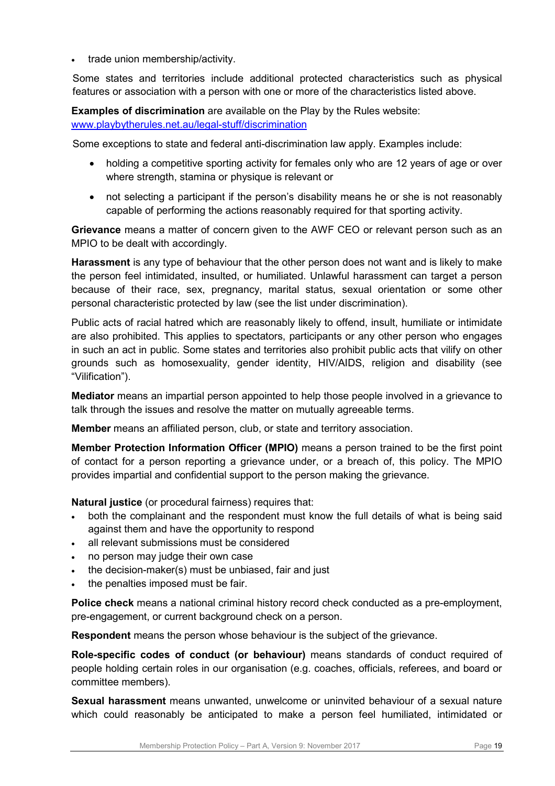• trade union membership/activity.

Some states and territories include additional protected characteristics such as physical features or association with a person with one or more of the characteristics listed above.

**Examples of discrimination** are available on the Play by the Rules website:

[www.playbytherules.net.au/legal-stuff/discrimination](http://www.playbytherules.net.au/legal-stuff/discrimination)

Some exceptions to state and federal anti-discrimination law apply. Examples include:

- holding a competitive sporting activity for females only who are 12 years of age or over where strength, stamina or physique is relevant or
- not selecting a participant if the person's disability means he or she is not reasonably capable of performing the actions reasonably required for that sporting activity.

**Grievance** means a matter of concern given to the AWF CEO or relevant person such as an MPIO to be dealt with accordingly.

**Harassment** is any type of behaviour that the other person does not want and is likely to make the person feel intimidated, insulted, or humiliated. Unlawful harassment can target a person because of their race, sex, pregnancy, marital status, sexual orientation or some other personal characteristic protected by law (see the list under discrimination).

Public acts of racial hatred which are reasonably likely to offend, insult, humiliate or intimidate are also prohibited. This applies to spectators, participants or any other person who engages in such an act in public. Some states and territories also prohibit public acts that vilify on other grounds such as homosexuality, gender identity, HIV/AIDS, religion and disability (see "Vilification").

**Mediator** means an impartial person appointed to help those people involved in a grievance to talk through the issues and resolve the matter on mutually agreeable terms.

**Member** means an affiliated person, club, or state and territory association.

**Member Protection Information Officer (MPIO)** means a person trained to be the first point of contact for a person reporting a grievance under, or a breach of, this policy. The MPIO provides impartial and confidential support to the person making the grievance.

**Natural justice** (or procedural fairness) requires that:

- both the complainant and the respondent must know the full details of what is being said against them and have the opportunity to respond
- all relevant submissions must be considered
- no person may judge their own case
- the decision-maker(s) must be unbiased, fair and just
- the penalties imposed must be fair.

**Police check** means a national criminal history record check conducted as a pre-employment, pre-engagement, or current background check on a person.

**Respondent** means the person whose behaviour is the subject of the grievance.

**Role-specific codes of conduct (or behaviour)** means standards of conduct required of people holding certain roles in our organisation (e.g. coaches, officials, referees, and board or committee members).

**Sexual harassment** means unwanted, unwelcome or uninvited behaviour of a sexual nature which could reasonably be anticipated to make a person feel humiliated, intimidated or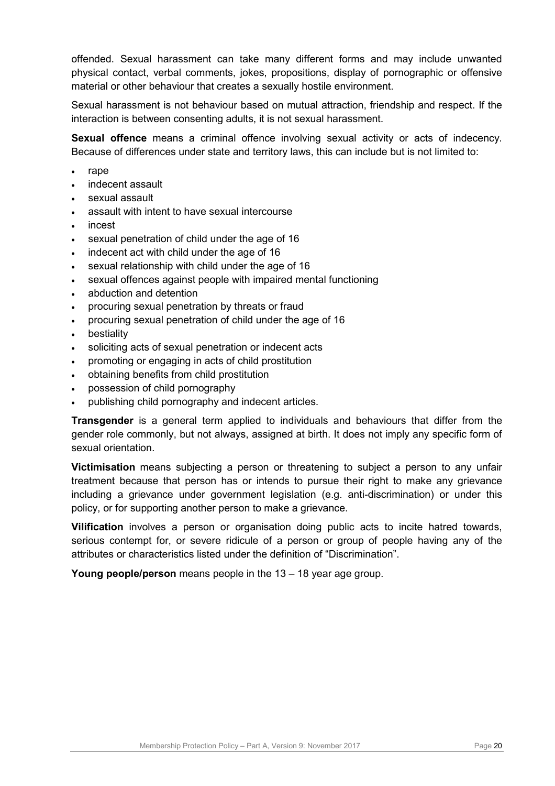offended. Sexual harassment can take many different forms and may include unwanted physical contact, verbal comments, jokes, propositions, display of pornographic or offensive material or other behaviour that creates a sexually hostile environment.

Sexual harassment is not behaviour based on mutual attraction, friendship and respect. If the interaction is between consenting adults, it is not sexual harassment.

**Sexual offence** means a criminal offence involving sexual activity or acts of indecency. Because of differences under state and territory laws, this can include but is not limited to:

- rape
- indecent assault
- sexual assault
- assault with intent to have sexual intercourse
- incest
- sexual penetration of child under the age of 16
- indecent act with child under the age of 16
- sexual relationship with child under the age of 16
- sexual offences against people with impaired mental functioning
- abduction and detention
- procuring sexual penetration by threats or fraud
- procuring sexual penetration of child under the age of 16
- **bestiality**
- soliciting acts of sexual penetration or indecent acts
- promoting or engaging in acts of child prostitution
- obtaining benefits from child prostitution
- possession of child pornography
- publishing child pornography and indecent articles.

**Transgender** is a general term applied to individuals and behaviours that differ from the gender role commonly, but not always, assigned at birth. It does not imply any specific form of sexual orientation.

**Victimisation** means subjecting a person or threatening to subject a person to any unfair treatment because that person has or intends to pursue their right to make any grievance including a grievance under government legislation (e.g. anti-discrimination) or under this policy, or for supporting another person to make a grievance.

**Vilification** involves a person or organisation doing public acts to incite hatred towards, serious contempt for, or severe ridicule of a person or group of people having any of the attributes or characteristics listed under the definition of "Discrimination".

**Young people/person** means people in the 13 – 18 year age group.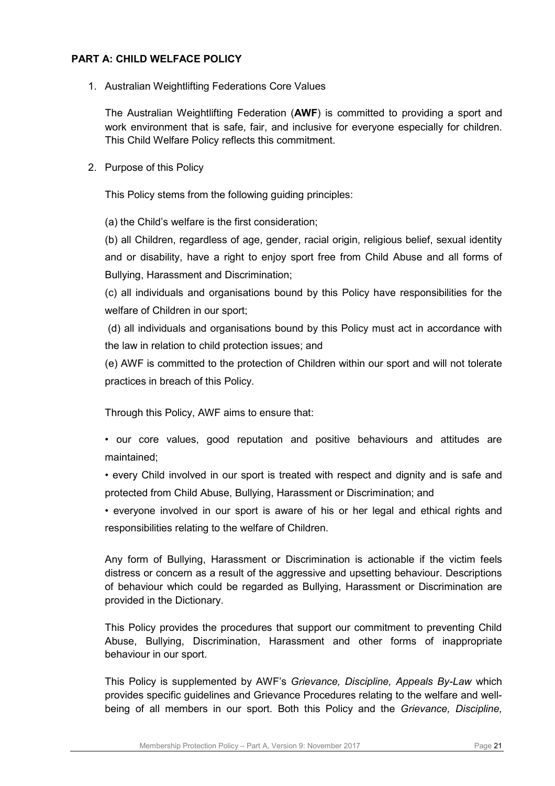# **PART A: CHILD WELFACE POLICY**

1. Australian Weightlifting Federations Core Values

The Australian Weightlifting Federation (**AWF**) is committed to providing a sport and work environment that is safe, fair, and inclusive for everyone especially for children. This Child Welfare Policy reflects this commitment.

2. Purpose of this Policy

This Policy stems from the following guiding principles:

(a) the Child's welfare is the first consideration;

(b) all Children, regardless of age, gender, racial origin, religious belief, sexual identity and or disability, have a right to enjoy sport free from Child Abuse and all forms of Bullying, Harassment and Discrimination;

(c) all individuals and organisations bound by this Policy have responsibilities for the welfare of Children in our sport;

(d) all individuals and organisations bound by this Policy must act in accordance with the law in relation to child protection issues; and

(e) AWF is committed to the protection of Children within our sport and will not tolerate practices in breach of this Policy.

Through this Policy, AWF aims to ensure that:

• our core values, good reputation and positive behaviours and attitudes are maintained;

• every Child involved in our sport is treated with respect and dignity and is safe and protected from Child Abuse, Bullying, Harassment or Discrimination; and

• everyone involved in our sport is aware of his or her legal and ethical rights and responsibilities relating to the welfare of Children.

Any form of Bullying, Harassment or Discrimination is actionable if the victim feels distress or concern as a result of the aggressive and upsetting behaviour. Descriptions of behaviour which could be regarded as Bullying, Harassment or Discrimination are provided in the Dictionary.

This Policy provides the procedures that support our commitment to preventing Child Abuse, Bullying, Discrimination, Harassment and other forms of inappropriate behaviour in our sport.

This Policy is supplemented by AWF's *Grievance, Discipline, Appeals By-Law* which provides specific guidelines and Grievance Procedures relating to the welfare and wellbeing of all members in our sport. Both this Policy and the *Grievance, Discipline,*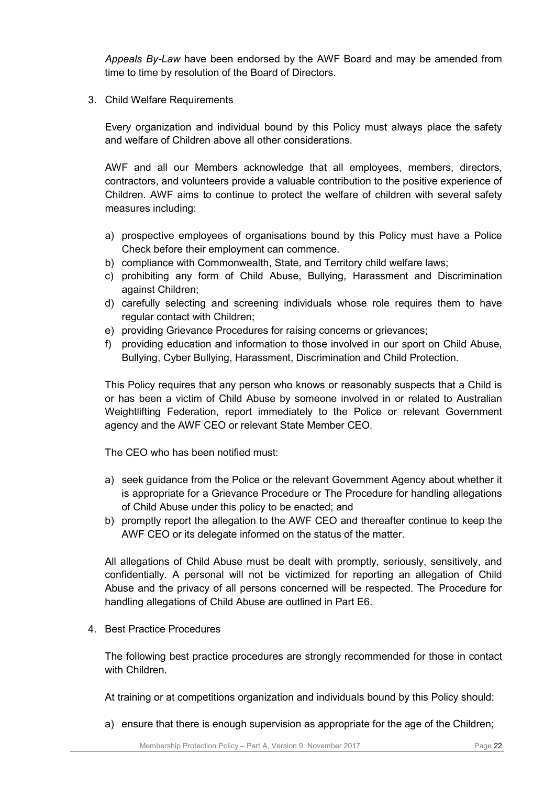*Appeals By-Law* have been endorsed by the AWF Board and may be amended from time to time by resolution of the Board of Directors.

3. Child Welfare Requirements

Every organization and individual bound by this Policy must always place the safety and welfare of Children above all other considerations.

AWF and all our Members acknowledge that all employees, members, directors, contractors, and volunteers provide a valuable contribution to the positive experience of Children. AWF aims to continue to protect the welfare of children with several safety measures including:

- a) prospective employees of organisations bound by this Policy must have a Police Check before their employment can commence.
- b) compliance with Commonwealth, State, and Territory child welfare laws;
- c) prohibiting any form of Child Abuse, Bullying, Harassment and Discrimination against Children;
- d) carefully selecting and screening individuals whose role requires them to have regular contact with Children;
- e) providing Grievance Procedures for raising concerns or grievances;
- f) providing education and information to those involved in our sport on Child Abuse, Bullying, Cyber Bullying, Harassment, Discrimination and Child Protection.

This Policy requires that any person who knows or reasonably suspects that a Child is or has been a victim of Child Abuse by someone involved in or related to Australian Weightlifting Federation, report immediately to the Police or relevant Government agency and the AWF CEO or relevant State Member CEO.

The CEO who has been notified must:

- a) seek guidance from the Police or the relevant Government Agency about whether it is appropriate for a Grievance Procedure or The Procedure for handling allegations of Child Abuse under this policy to be enacted; and
- b) promptly report the allegation to the AWF CEO and thereafter continue to keep the AWF CEO or its delegate informed on the status of the matter.

All allegations of Child Abuse must be dealt with promptly, seriously, sensitively, and confidentially. A personal will not be victimized for reporting an allegation of Child Abuse and the privacy of all persons concerned will be respected. The Procedure for handling allegations of Child Abuse are outlined in Part E6.

4. Best Practice Procedures

The following best practice procedures are strongly recommended for those in contact with Children.

At training or at competitions organization and individuals bound by this Policy should:

a) ensure that there is enough supervision as appropriate for the age of the Children;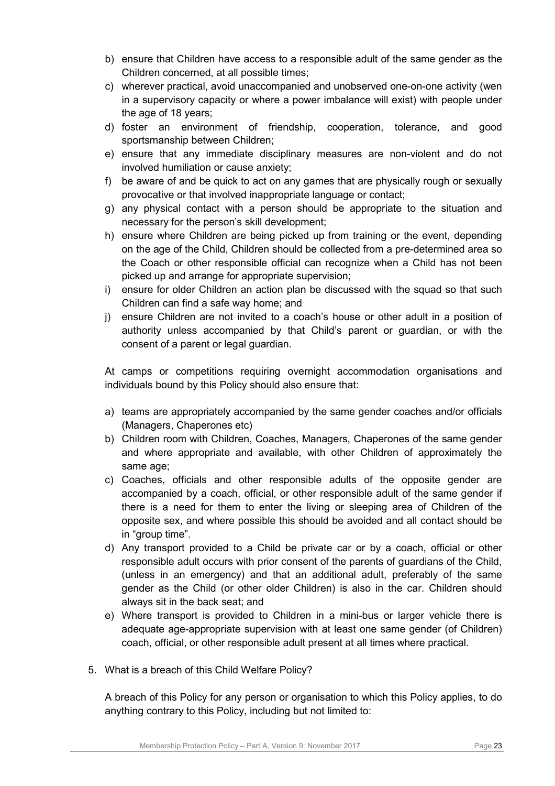- b) ensure that Children have access to a responsible adult of the same gender as the Children concerned, at all possible times;
- c) wherever practical, avoid unaccompanied and unobserved one-on-one activity (wen in a supervisory capacity or where a power imbalance will exist) with people under the age of 18 years;
- d) foster an environment of friendship, cooperation, tolerance, and good sportsmanship between Children;
- e) ensure that any immediate disciplinary measures are non-violent and do not involved humiliation or cause anxiety;
- f) be aware of and be quick to act on any games that are physically rough or sexually provocative or that involved inappropriate language or contact;
- g) any physical contact with a person should be appropriate to the situation and necessary for the person's skill development;
- h) ensure where Children are being picked up from training or the event, depending on the age of the Child, Children should be collected from a pre-determined area so the Coach or other responsible official can recognize when a Child has not been picked up and arrange for appropriate supervision;
- i) ensure for older Children an action plan be discussed with the squad so that such Children can find a safe way home; and
- j) ensure Children are not invited to a coach's house or other adult in a position of authority unless accompanied by that Child's parent or guardian, or with the consent of a parent or legal guardian.

At camps or competitions requiring overnight accommodation organisations and individuals bound by this Policy should also ensure that:

- a) teams are appropriately accompanied by the same gender coaches and/or officials (Managers, Chaperones etc)
- b) Children room with Children, Coaches, Managers, Chaperones of the same gender and where appropriate and available, with other Children of approximately the same age;
- c) Coaches, officials and other responsible adults of the opposite gender are accompanied by a coach, official, or other responsible adult of the same gender if there is a need for them to enter the living or sleeping area of Children of the opposite sex, and where possible this should be avoided and all contact should be in "group time".
- d) Any transport provided to a Child be private car or by a coach, official or other responsible adult occurs with prior consent of the parents of guardians of the Child, (unless in an emergency) and that an additional adult, preferably of the same gender as the Child (or other older Children) is also in the car. Children should always sit in the back seat; and
- e) Where transport is provided to Children in a mini-bus or larger vehicle there is adequate age-appropriate supervision with at least one same gender (of Children) coach, official, or other responsible adult present at all times where practical.
- 5. What is a breach of this Child Welfare Policy?

A breach of this Policy for any person or organisation to which this Policy applies, to do anything contrary to this Policy, including but not limited to: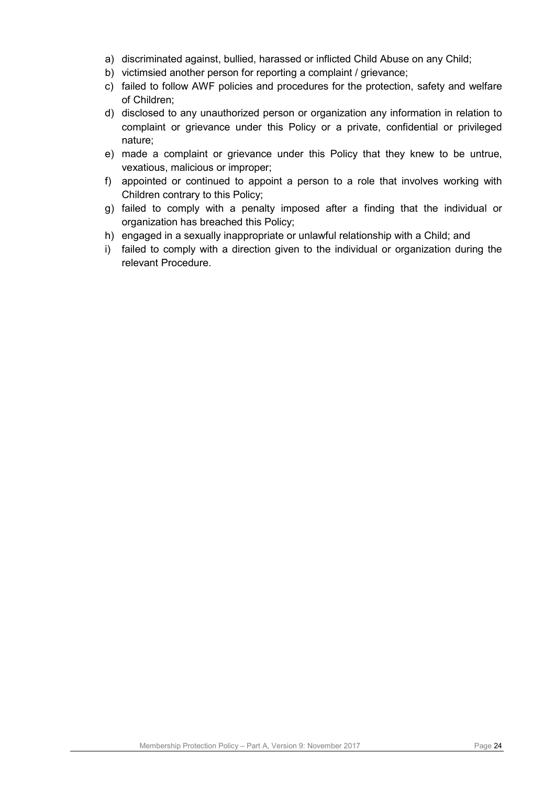- a) discriminated against, bullied, harassed or inflicted Child Abuse on any Child;
- b) victimsied another person for reporting a complaint / grievance;
- c) failed to follow AWF policies and procedures for the protection, safety and welfare of Children;
- d) disclosed to any unauthorized person or organization any information in relation to complaint or grievance under this Policy or a private, confidential or privileged nature;
- e) made a complaint or grievance under this Policy that they knew to be untrue, vexatious, malicious or improper;
- f) appointed or continued to appoint a person to a role that involves working with Children contrary to this Policy;
- g) failed to comply with a penalty imposed after a finding that the individual or organization has breached this Policy;
- h) engaged in a sexually inappropriate or unlawful relationship with a Child; and
- i) failed to comply with a direction given to the individual or organization during the relevant Procedure.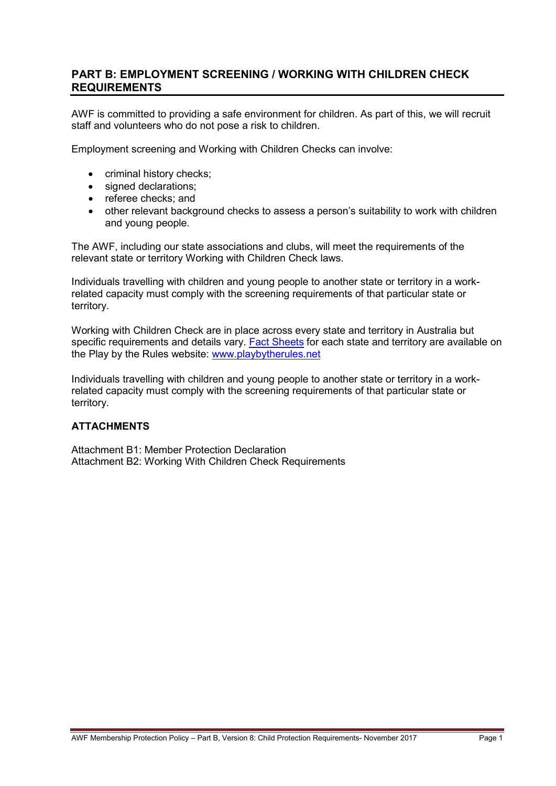# **PART B: EMPLOYMENT SCREENING / WORKING WITH CHILDREN CHECK REQUIREMENTS**

AWF is committed to providing a safe environment for children. As part of this, we will recruit staff and volunteers who do not pose a risk to children.

Employment screening and Working with Children Checks can involve:

- criminal history checks;
- signed declarations;
- referee checks; and
- other relevant background checks to assess a person's suitability to work with children and young people.

The AWF, including our state associations and clubs, will meet the requirements of the relevant state or territory Working with Children Check laws.

Individuals travelling with children and young people to another state or territory in a workrelated capacity must comply with the screening requirements of that particular state or territory.

Working with Children Check are in place across every state and territory in Australia but specific requirements and details vary. [Fact Sheets](http://www.playbytherules.net.au/legal-stuff/child-protection/child-protection-laws-explained/screening) for each state and territory are available on the Play by the Rules website: [www.playbytherules.net](http://www.playbytherules.net/)

Individuals travelling with children and young people to another state or territory in a workrelated capacity must comply with the screening requirements of that particular state or territory.

# **ATTACHMENTS**

Attachment B1: Member Protection Declaration Attachment B2: Working With Children Check Requirements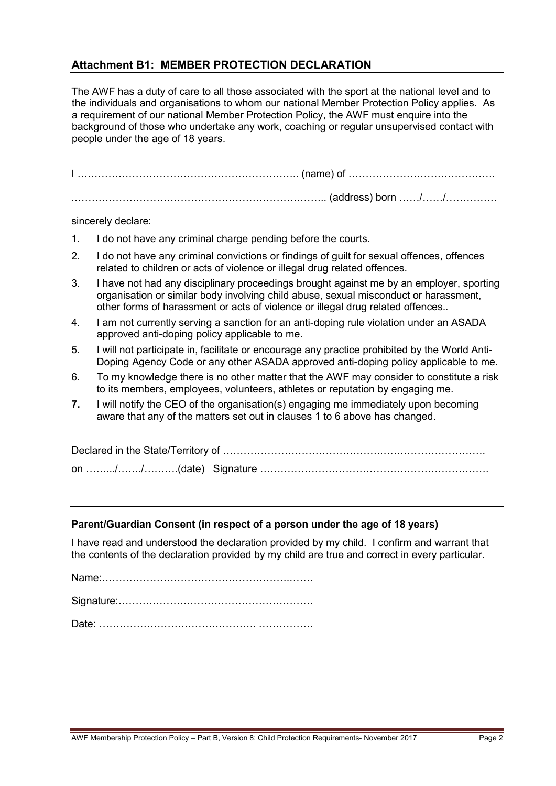# **Attachment B1: MEMBER PROTECTION DECLARATION**

The AWF has a duty of care to all those associated with the sport at the national level and to the individuals and organisations to whom our national Member Protection Policy applies. As a requirement of our national Member Protection Policy, the AWF must enquire into the background of those who undertake any work, coaching or regular unsupervised contact with people under the age of 18 years.

I ……………………………………………………….. (name) of ……………………………………. .……………………………………………………………….. (address) born ……/……/……………

sincerely declare:

- 1. I do not have any criminal charge pending before the courts.
- 2. I do not have any criminal convictions or findings of guilt for sexual offences, offences related to children or acts of violence or illegal drug related offences.
- 3. I have not had any disciplinary proceedings brought against me by an employer, sporting organisation or similar body involving child abuse, sexual misconduct or harassment, other forms of harassment or acts of violence or illegal drug related offences.*.*
- 4. I am not currently serving a sanction for an anti-doping rule violation under an ASADA approved anti-doping policy applicable to me.
- 5. I will not participate in, facilitate or encourage any practice prohibited by the World Anti-Doping Agency Code or any other ASADA approved anti-doping policy applicable to me.
- 6. To my knowledge there is no other matter that the AWF may consider to constitute a risk to its members, employees, volunteers, athletes or reputation by engaging me.
- **7.** I will notify the CEO of the organisation(s) engaging me immediately upon becoming aware that any of the matters set out in clauses 1 to 6 above has changed.

Declared in the State/Territory of ……………………………………….…………………………. on …….../……./……….(date) Signature ………………………………………………………….

#### **Parent/Guardian Consent (in respect of a person under the age of 18 years)**

I have read and understood the declaration provided by my child. I confirm and warrant that the contents of the declaration provided by my child are true and correct in every particular.

Name:……………………………………………….…….

Signature:…………………………………………………

Date: ………………………………………. …………….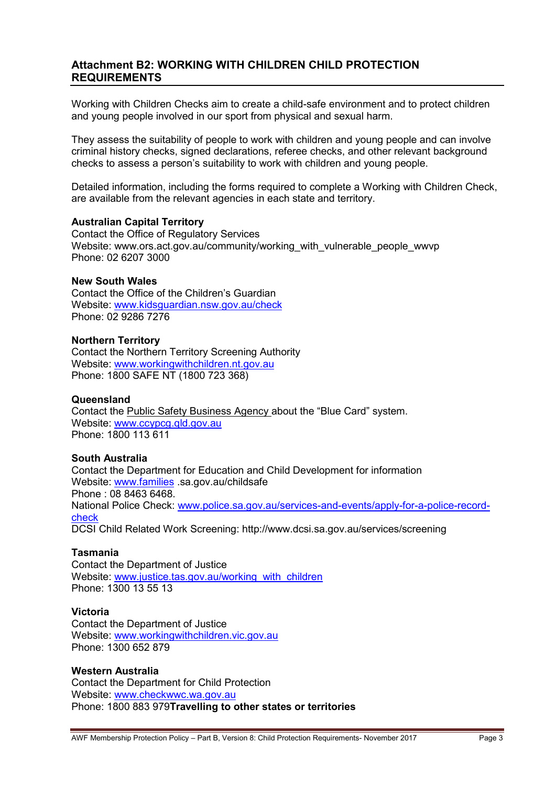# **Attachment B2: WORKING WITH CHILDREN CHILD PROTECTION REQUIREMENTS**

Working with Children Checks aim to create a child-safe environment and to protect children and young people involved in our sport from physical and sexual harm.

They assess the suitability of people to work with children and young people and can involve criminal history checks, signed declarations, referee checks, and other relevant background checks to assess a person's suitability to work with children and young people.

Detailed information, including the forms required to complete a Working with Children Check, are available from the relevant agencies in each state and territory.

#### **Australian Capital Territory**

Contact the Office of Regulatory Services Website: www.ors.act.gov.au/community/working\_with\_vulnerable\_people\_wwvp Phone: 02 6207 3000

#### **New South Wales**

Contact the Office of the Children's Guardian Website: [www.kidsguardian.nsw.gov.au/](http://www.kidsguardian.nsw.gov.au/)check Phone: 02 9286 7276

#### **Northern Territory**

Contact the Northern Territory Screening Authority Website: [www.workingwithchildren.nt.gov.au](http://www.workingwithchildren.nt.gov.au/) Phone: 1800 SAFE NT (1800 723 368)

#### **Queensland**

Contact the Public Safety Business Agency about the "Blue Card" system. Website: [www.ccypcg.qld.gov.au](http://www.ccypcg.qld.gov.au/) Phone: 1800 113 611

#### **South Australia**

Contact the Department for Education and Child Development for information Website: [www.families](http://www.families/) .sa.gov.au/childsafe Phone : 08 8463 6468. National Police Check: [www.police.sa.gov.au/services-and-events/apply-for-a-police-record](http://www.police.sa.gov.au/services-and-events/apply-for-a-police-record-check)[check](http://www.police.sa.gov.au/services-and-events/apply-for-a-police-record-check) DCSI Child Related Work Screening: http://www.dcsi.sa.gov.au/services/screening

#### **Tasmania**

Contact the Department of Justice Website: [www.justice.tas.gov.au/working\\_with\\_children](http://www.justice.tas.gov.au/working_with_children) Phone: 1300 13 55 13

#### **Victoria**

Contact the Department of Justice Website: [www.workingwithchildren.vic.gov.au](http://www.workingwithchildren.vic.gov.au/) Phone: 1300 652 879

#### **Western Australia**

Contact the Department for Child Protection Website: [www.checkwwc.wa.gov.au](http://www.checkwwc.wa.gov.au/) Phone: 1800 883 979**Travelling to other states or territories**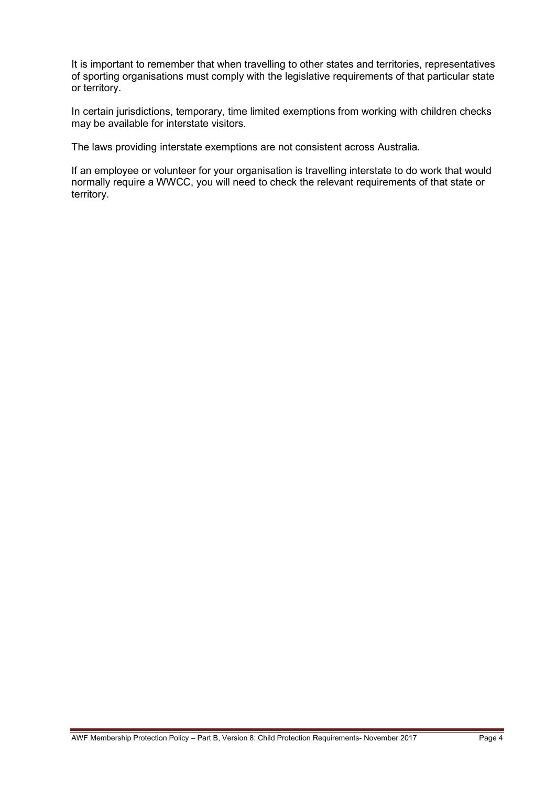It is important to remember that when travelling to other states and territories, representatives of sporting organisations must comply with the legislative requirements of that particular state or territory.

In certain jurisdictions, temporary, time limited exemptions from working with children checks may be available for interstate visitors.

The laws providing interstate exemptions are not consistent across Australia.

If an employee or volunteer for your organisation is travelling interstate to do work that would normally require a WWCC, you will need to check the relevant requirements of that state or territory.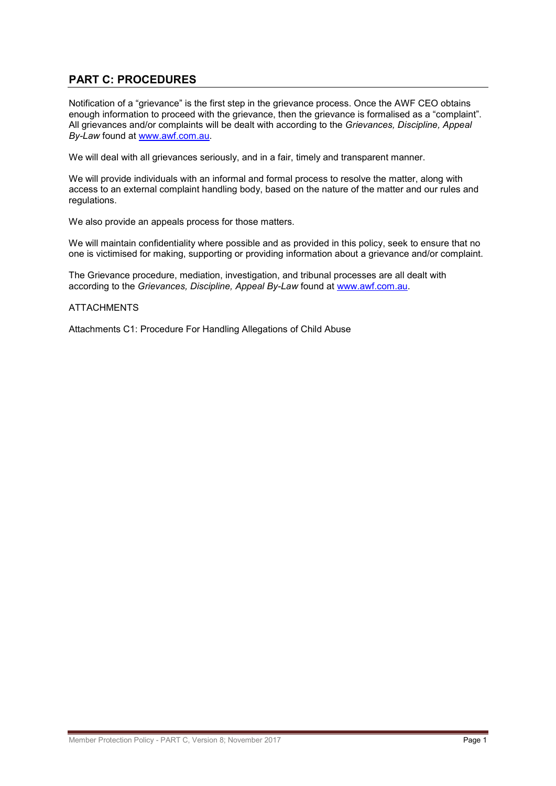# **PART C: PROCEDURES**

Notification of a "grievance" is the first step in the grievance process. Once the AWF CEO obtains enough information to proceed with the grievance, then the grievance is formalised as a "complaint". All grievances and/or complaints will be dealt with according to the *Grievances, Discipline, Appeal By-Law* found at [www.awf.com.au.](http://www.awf.com.au/)

We will deal with all grievances seriously, and in a fair, timely and transparent manner.

We will provide individuals with an informal and formal process to resolve the matter, along with access to an external complaint handling body, based on the nature of the matter and our rules and regulations.

We also provide an appeals process for those matters.

We will maintain confidentiality where possible and as provided in this policy, seek to ensure that no one is victimised for making, supporting or providing information about a grievance and/or complaint.

The Grievance procedure, mediation, investigation, and tribunal processes are all dealt with according to the *Grievances, Discipline, Appeal By-Law* found at [www.awf.com.au.](http://www.awf.com.au/)

#### **ATTACHMENTS**

Attachments C1: Procedure For Handling Allegations of Child Abuse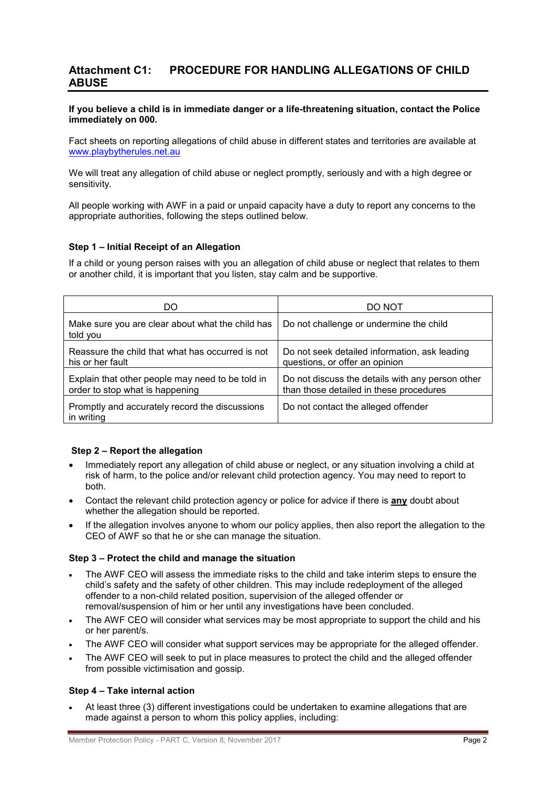# **Attachment C1: PROCEDURE FOR HANDLING ALLEGATIONS OF CHILD ABUSE**

#### **If you believe a child is in immediate danger or a life-threatening situation, contact the Police immediately on 000.**

Fact sheets on reporting allegations of child abuse in different states and territories are available at [www.playbytherules.net.au](http://www.playbytherules.net.au/)

We will treat any allegation of child abuse or neglect promptly, seriously and with a high degree or sensitivity.

All people working with AWF in a paid or unpaid capacity have a duty to report any concerns to the appropriate authorities, following the steps outlined below.

#### **Step 1 – Initial Receipt of an Allegation**

If a child or young person raises with you an allegation of child abuse or neglect that relates to them or another child, it is important that you listen, stay calm and be supportive.

| DO                                                                                  | DO NOT                                                                                      |
|-------------------------------------------------------------------------------------|---------------------------------------------------------------------------------------------|
| Make sure you are clear about what the child has<br>told you                        | Do not challenge or undermine the child                                                     |
| Reassure the child that what has occurred is not<br>his or her fault                | Do not seek detailed information, ask leading<br>questions, or offer an opinion             |
| Explain that other people may need to be told in<br>order to stop what is happening | Do not discuss the details with any person other<br>than those detailed in these procedures |
| Promptly and accurately record the discussions<br>in writing                        | Do not contact the alleged offender                                                         |

#### **Step 2 – Report the allegation**

- Immediately report any allegation of child abuse or neglect, or any situation involving a child at risk of harm, to the police and/or relevant child protection agency. You may need to report to both.
- Contact the relevant child protection agency or police for advice if there is **any** doubt about whether the allegation should be reported.
- If the allegation involves anyone to whom our policy applies, then also report the allegation to the CEO of AWF so that he or she can manage the situation.

#### **Step 3 – Protect the child and manage the situation**

- The AWF CEO will assess the immediate risks to the child and take interim steps to ensure the child's safety and the safety of other children. This may include redeployment of the alleged offender to a non-child related position, supervision of the alleged offender or removal/suspension of him or her until any investigations have been concluded.
- The AWF CEO will consider what services may be most appropriate to support the child and his or her parent/s.
- The AWF CEO will consider what support services may be appropriate for the alleged offender.
- The AWF CEO will seek to put in place measures to protect the child and the alleged offender from possible victimisation and gossip.

#### **Step 4 – Take internal action**

• At least three (3) different investigations could be undertaken to examine allegations that are made against a person to whom this policy applies, including: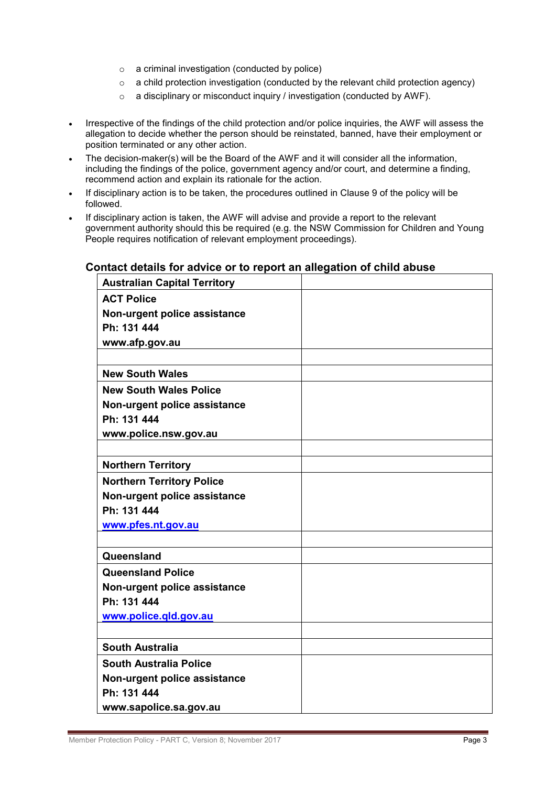- o a criminal investigation (conducted by police)
- $\circ$  a child protection investigation (conducted by the relevant child protection agency)
- o a disciplinary or misconduct inquiry / investigation (conducted by AWF).
- Irrespective of the findings of the child protection and/or police inquiries, the AWF will assess the allegation to decide whether the person should be reinstated, banned, have their employment or position terminated or any other action.
- The decision-maker(s) will be the Board of the AWF and it will consider all the information, including the findings of the police, government agency and/or court, and determine a finding, recommend action and explain its rationale for the action.
- If disciplinary action is to be taken, the procedures outlined in Clause 9 of the policy will be followed.
- If disciplinary action is taken, the AWF will advise and provide a report to the relevant government authority should this be required (e.g. the NSW Commission for Children and Young People requires notification of relevant employment proceedings).

# **Australian Capital Territory ACT Police Non-urgent police assistance Ph: 131 444 www.afp.gov.au New South Wales New South Wales Police Non-urgent police assistance Ph: 131 444 www.police.nsw.gov.au Northern Territory Northern Territory Police Non-urgent police assistance Ph: 131 444 [www.pfes.nt.gov.au](http://www.pfes.nt.gov.au/) Queensland Queensland Police Non-urgent police assistance Ph: 131 444 [www.police.qld.gov.au](http://www.police.qld.gov.au/) South Australia South Australia Police Non-urgent police assistance Ph: 131 444 www.sapolice.sa.gov.au**

#### **Contact details for advice or to report an allegation of child abuse**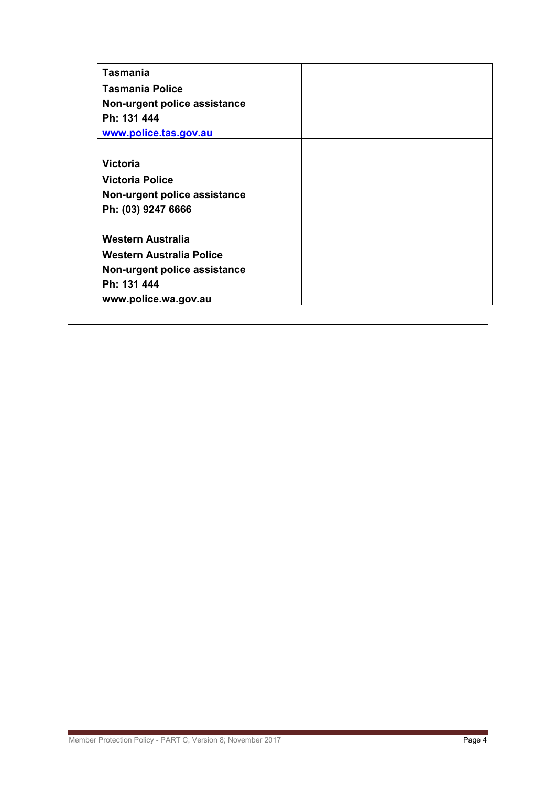| <b>Tasmania</b>              |  |
|------------------------------|--|
| <b>Tasmania Police</b>       |  |
| Non-urgent police assistance |  |
| Ph: 131 444                  |  |
| www.police.tas.gov.au        |  |
|                              |  |
| <b>Victoria</b>              |  |
| <b>Victoria Police</b>       |  |
| Non-urgent police assistance |  |
| Ph: (03) 9247 6666           |  |
|                              |  |
| <b>Western Australia</b>     |  |
| Western Australia Police     |  |
| Non-urgent police assistance |  |
| Ph: 131 444                  |  |
| www.police.wa.gov.au         |  |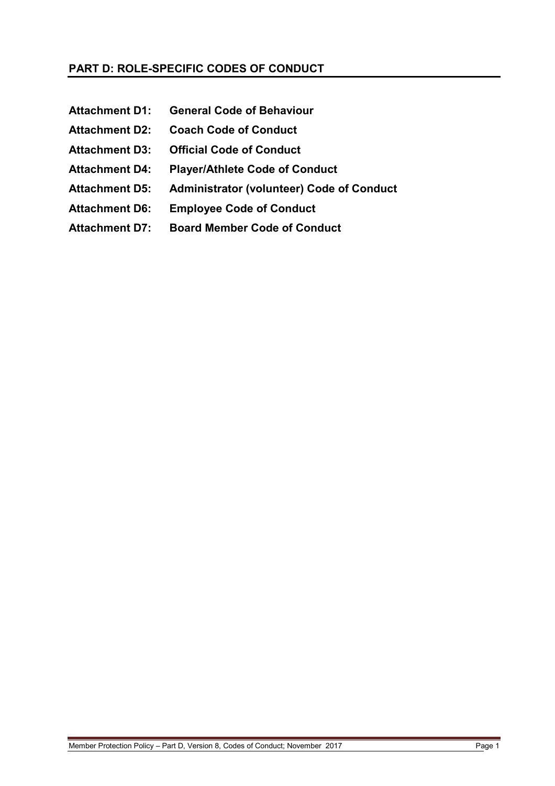# **PART D: ROLE-SPECIFIC CODES OF CONDUCT**

**Attachment D1: General Code of Behaviour Attachment D2: Coach Code of Conduct Attachment D3: Official Code of Conduct Attachment D4: Player/Athlete Code of Conduct Attachment D5: Administrator (volunteer) Code of Conduct Attachment D6: Employee Code of Conduct Attachment D7: Board Member Code of Conduct**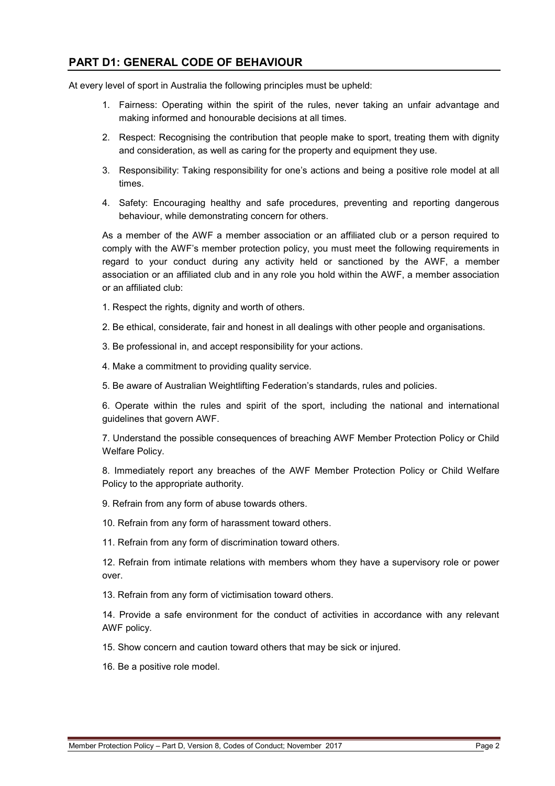# **PART D1: GENERAL CODE OF BEHAVIOUR**

At every level of sport in Australia the following principles must be upheld:

- 1. Fairness: Operating within the spirit of the rules, never taking an unfair advantage and making informed and honourable decisions at all times.
- 2. Respect: Recognising the contribution that people make to sport, treating them with dignity and consideration, as well as caring for the property and equipment they use.
- 3. Responsibility: Taking responsibility for one's actions and being a positive role model at all times.
- 4. Safety: Encouraging healthy and safe procedures, preventing and reporting dangerous behaviour, while demonstrating concern for others.

As a member of the AWF a member association or an affiliated club or a person required to comply with the AWF's member protection policy, you must meet the following requirements in regard to your conduct during any activity held or sanctioned by the AWF, a member association or an affiliated club and in any role you hold within the AWF, a member association or an affiliated club:

- 1. Respect the rights, dignity and worth of others.
- 2. Be ethical, considerate, fair and honest in all dealings with other people and organisations.
- 3. Be professional in, and accept responsibility for your actions.
- 4. Make a commitment to providing quality service.
- 5. Be aware of Australian Weightlifting Federation's standards, rules and policies.

6. Operate within the rules and spirit of the sport, including the national and international guidelines that govern AWF.

7. Understand the possible consequences of breaching AWF Member Protection Policy or Child Welfare Policy.

8. Immediately report any breaches of the AWF Member Protection Policy or Child Welfare Policy to the appropriate authority.

9. Refrain from any form of abuse towards others.

10. Refrain from any form of harassment toward others.

11. Refrain from any form of discrimination toward others.

12. Refrain from intimate relations with members whom they have a supervisory role or power over.

13. Refrain from any form of victimisation toward others.

14. Provide a safe environment for the conduct of activities in accordance with any relevant AWF policy.

15. Show concern and caution toward others that may be sick or injured.

16. Be a positive role model.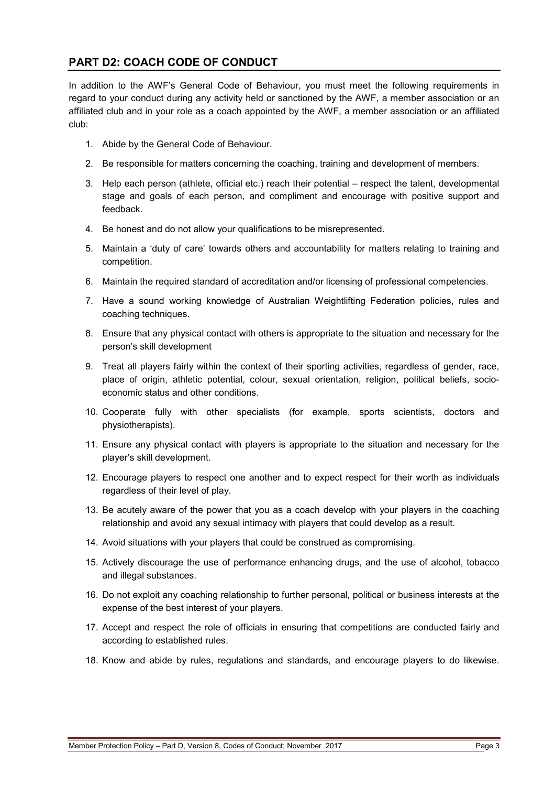# **PART D2: COACH CODE OF CONDUCT**

In addition to the AWF's General Code of Behaviour, you must meet the following requirements in regard to your conduct during any activity held or sanctioned by the AWF, a member association or an affiliated club and in your role as a coach appointed by the AWF, a member association or an affiliated club:

- 1. Abide by the General Code of Behaviour.
- 2. Be responsible for matters concerning the coaching, training and development of members.
- 3. Help each person (athlete, official etc.) reach their potential respect the talent, developmental stage and goals of each person, and compliment and encourage with positive support and feedback.
- 4. Be honest and do not allow your qualifications to be misrepresented.
- 5. Maintain a 'duty of care' towards others and accountability for matters relating to training and competition.
- 6. Maintain the required standard of accreditation and/or licensing of professional competencies.
- 7. Have a sound working knowledge of Australian Weightlifting Federation policies, rules and coaching techniques.
- 8. Ensure that any physical contact with others is appropriate to the situation and necessary for the person's skill development
- 9. Treat all players fairly within the context of their sporting activities, regardless of gender, race, place of origin, athletic potential, colour, sexual orientation, religion, political beliefs, socioeconomic status and other conditions.
- 10. Cooperate fully with other specialists (for example, sports scientists, doctors and physiotherapists).
- 11. Ensure any physical contact with players is appropriate to the situation and necessary for the player's skill development.
- 12. Encourage players to respect one another and to expect respect for their worth as individuals regardless of their level of play.
- 13. Be acutely aware of the power that you as a coach develop with your players in the coaching relationship and avoid any sexual intimacy with players that could develop as a result.
- 14. Avoid situations with your players that could be construed as compromising.
- 15. Actively discourage the use of performance enhancing drugs, and the use of alcohol, tobacco and illegal substances.
- 16. Do not exploit any coaching relationship to further personal, political or business interests at the expense of the best interest of your players.
- 17. Accept and respect the role of officials in ensuring that competitions are conducted fairly and according to established rules.
- 18. Know and abide by rules, regulations and standards, and encourage players to do likewise.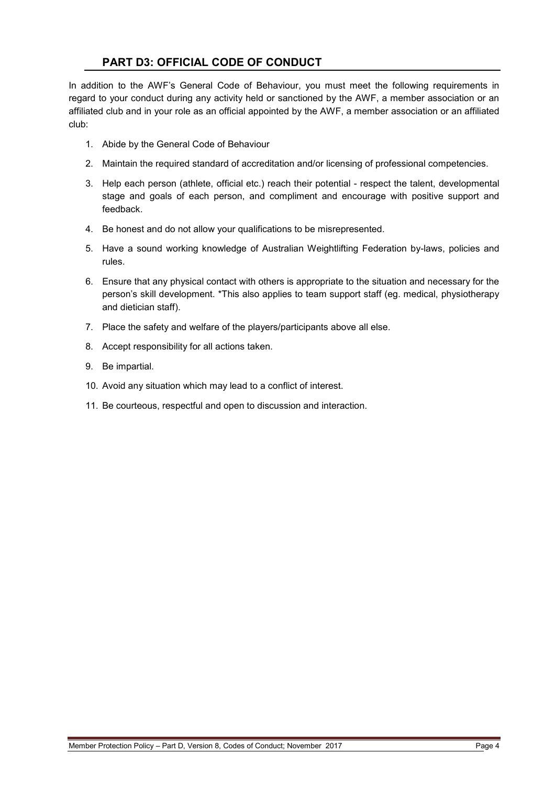# **PART D3: OFFICIAL CODE OF CONDUCT**

In addition to the AWF's General Code of Behaviour, you must meet the following requirements in regard to your conduct during any activity held or sanctioned by the AWF, a member association or an affiliated club and in your role as an official appointed by the AWF, a member association or an affiliated club:

- 1. Abide by the General Code of Behaviour
- 2. Maintain the required standard of accreditation and/or licensing of professional competencies.
- 3. Help each person (athlete, official etc.) reach their potential respect the talent, developmental stage and goals of each person, and compliment and encourage with positive support and feedback.
- 4. Be honest and do not allow your qualifications to be misrepresented.
- 5. Have a sound working knowledge of Australian Weightlifting Federation by-laws, policies and rules.
- 6. Ensure that any physical contact with others is appropriate to the situation and necessary for the person's skill development. \*This also applies to team support staff (eg. medical, physiotherapy and dietician staff).
- 7. Place the safety and welfare of the players/participants above all else.
- 8. Accept responsibility for all actions taken.
- 9. Be impartial.
- 10. Avoid any situation which may lead to a conflict of interest.
- 11. Be courteous, respectful and open to discussion and interaction.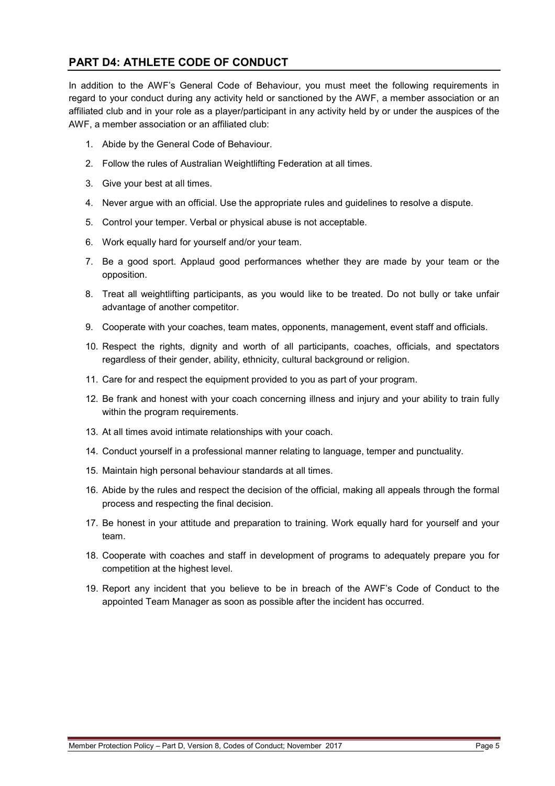# **PART D4: ATHLETE CODE OF CONDUCT**

In addition to the AWF's General Code of Behaviour, you must meet the following requirements in regard to your conduct during any activity held or sanctioned by the AWF, a member association or an affiliated club and in your role as a player/participant in any activity held by or under the auspices of the AWF, a member association or an affiliated club:

- 1. Abide by the General Code of Behaviour.
- 2. Follow the rules of Australian Weightlifting Federation at all times.
- 3. Give your best at all times.
- 4. Never argue with an official. Use the appropriate rules and guidelines to resolve a dispute.
- 5. Control your temper. Verbal or physical abuse is not acceptable.
- 6. Work equally hard for yourself and/or your team.
- 7. Be a good sport. Applaud good performances whether they are made by your team or the opposition.
- 8. Treat all weightlifting participants, as you would like to be treated. Do not bully or take unfair advantage of another competitor.
- 9. Cooperate with your coaches, team mates, opponents, management, event staff and officials.
- 10. Respect the rights, dignity and worth of all participants, coaches, officials, and spectators regardless of their gender, ability, ethnicity, cultural background or religion.
- 11. Care for and respect the equipment provided to you as part of your program.
- 12. Be frank and honest with your coach concerning illness and injury and your ability to train fully within the program requirements.
- 13. At all times avoid intimate relationships with your coach.
- 14. Conduct yourself in a professional manner relating to language, temper and punctuality.
- 15. Maintain high personal behaviour standards at all times.
- 16. Abide by the rules and respect the decision of the official, making all appeals through the formal process and respecting the final decision.
- 17. Be honest in your attitude and preparation to training. Work equally hard for yourself and your team.
- 18. Cooperate with coaches and staff in development of programs to adequately prepare you for competition at the highest level.
- 19. Report any incident that you believe to be in breach of the AWF's Code of Conduct to the appointed Team Manager as soon as possible after the incident has occurred.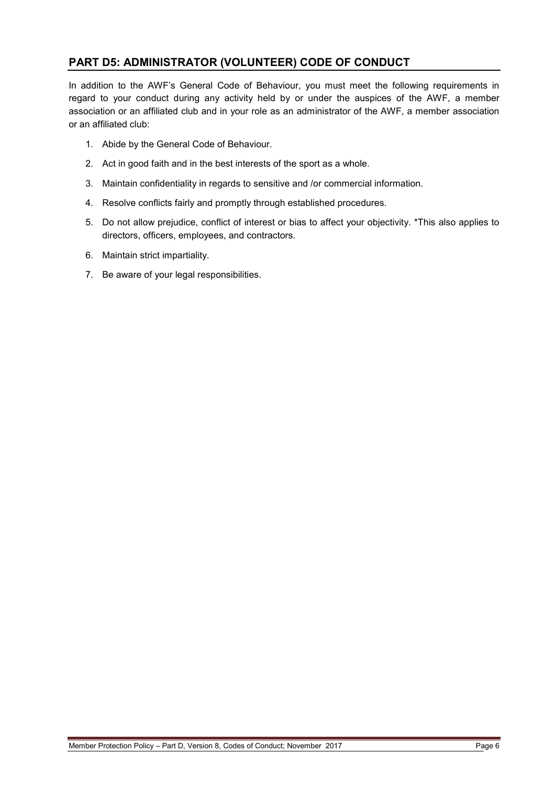# **PART D5: ADMINISTRATOR (VOLUNTEER) CODE OF CONDUCT**

In addition to the AWF's General Code of Behaviour, you must meet the following requirements in regard to your conduct during any activity held by or under the auspices of the AWF, a member association or an affiliated club and in your role as an administrator of the AWF, a member association or an affiliated club:

- 1. Abide by the General Code of Behaviour.
- 2. Act in good faith and in the best interests of the sport as a whole.
- 3. Maintain confidentiality in regards to sensitive and /or commercial information.
- 4. Resolve conflicts fairly and promptly through established procedures.
- 5. Do not allow prejudice, conflict of interest or bias to affect your objectivity. \*This also applies to directors, officers, employees, and contractors.
- 6. Maintain strict impartiality.
- 7. Be aware of your legal responsibilities.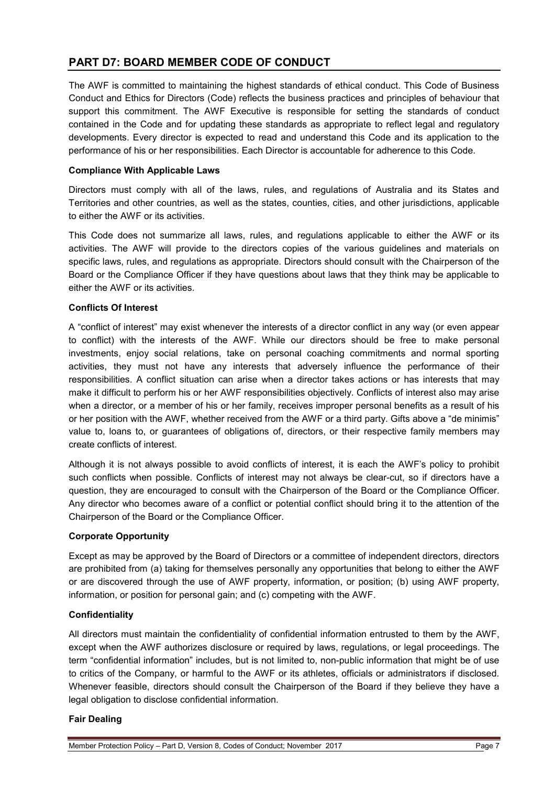# **PART D7: BOARD MEMBER CODE OF CONDUCT**

The AWF is committed to maintaining the highest standards of ethical conduct. This Code of Business Conduct and Ethics for Directors (Code) reflects the business practices and principles of behaviour that support this commitment. The AWF Executive is responsible for setting the standards of conduct contained in the Code and for updating these standards as appropriate to reflect legal and regulatory developments. Every director is expected to read and understand this Code and its application to the performance of his or her responsibilities. Each Director is accountable for adherence to this Code.

#### **Compliance With Applicable Laws**

Directors must comply with all of the laws, rules, and regulations of Australia and its States and Territories and other countries, as well as the states, counties, cities, and other jurisdictions, applicable to either the AWF or its activities.

This Code does not summarize all laws, rules, and regulations applicable to either the AWF or its activities. The AWF will provide to the directors copies of the various guidelines and materials on specific laws, rules, and regulations as appropriate. Directors should consult with the Chairperson of the Board or the Compliance Officer if they have questions about laws that they think may be applicable to either the AWF or its activities.

#### **Conflicts Of Interest**

A "conflict of interest" may exist whenever the interests of a director conflict in any way (or even appear to conflict) with the interests of the AWF. While our directors should be free to make personal investments, enjoy social relations, take on personal coaching commitments and normal sporting activities, they must not have any interests that adversely influence the performance of their responsibilities. A conflict situation can arise when a director takes actions or has interests that may make it difficult to perform his or her AWF responsibilities objectively. Conflicts of interest also may arise when a director, or a member of his or her family, receives improper personal benefits as a result of his or her position with the AWF, whether received from the AWF or a third party. Gifts above a "de minimis" value to, loans to, or guarantees of obligations of, directors, or their respective family members may create conflicts of interest.

Although it is not always possible to avoid conflicts of interest, it is each the AWF's policy to prohibit such conflicts when possible. Conflicts of interest may not always be clear-cut, so if directors have a question, they are encouraged to consult with the Chairperson of the Board or the Compliance Officer. Any director who becomes aware of a conflict or potential conflict should bring it to the attention of the Chairperson of the Board or the Compliance Officer.

#### **Corporate Opportunity**

Except as may be approved by the Board of Directors or a committee of independent directors, directors are prohibited from (a) taking for themselves personally any opportunities that belong to either the AWF or are discovered through the use of AWF property, information, or position; (b) using AWF property, information, or position for personal gain; and (c) competing with the AWF.

#### **Confidentiality**

All directors must maintain the confidentiality of confidential information entrusted to them by the AWF, except when the AWF authorizes disclosure or required by laws, regulations, or legal proceedings. The term "confidential information" includes, but is not limited to, non-public information that might be of use to critics of the Company, or harmful to the AWF or its athletes, officials or administrators if disclosed. Whenever feasible, directors should consult the Chairperson of the Board if they believe they have a legal obligation to disclose confidential information.

#### **Fair Dealing**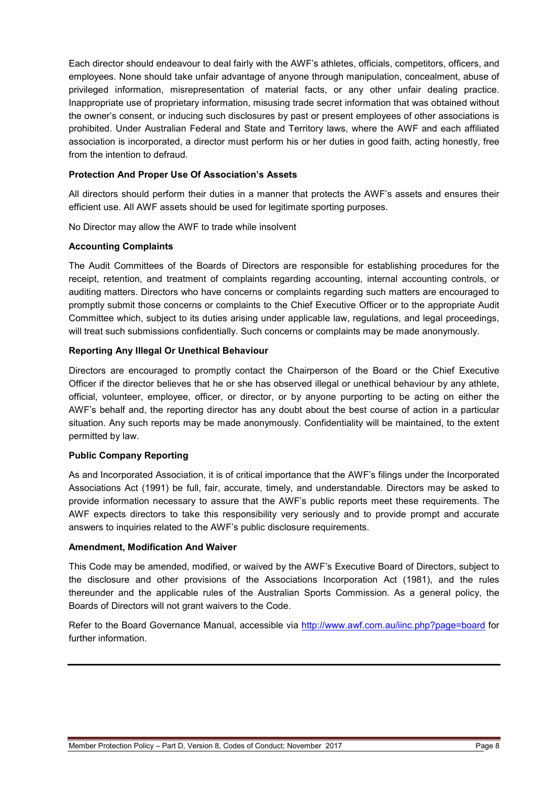Each director should endeavour to deal fairly with the AWF's athletes, officials, competitors, officers, and employees. None should take unfair advantage of anyone through manipulation, concealment, abuse of privileged information, misrepresentation of material facts, or any other unfair dealing practice. Inappropriate use of proprietary information, misusing trade secret information that was obtained without the owner's consent, or inducing such disclosures by past or present employees of other associations is prohibited. Under Australian Federal and State and Territory laws, where the AWF and each affiliated association is incorporated, a director must perform his or her duties in good faith, acting honestly, free from the intention to defraud.

#### **Protection And Proper Use Of Association's Assets**

All directors should perform their duties in a manner that protects the AWF's assets and ensures their efficient use. All AWF assets should be used for legitimate sporting purposes.

No Director may allow the AWF to trade while insolvent

#### **Accounting Complaints**

The Audit Committees of the Boards of Directors are responsible for establishing procedures for the receipt, retention, and treatment of complaints regarding accounting, internal accounting controls, or auditing matters. Directors who have concerns or complaints regarding such matters are encouraged to promptly submit those concerns or complaints to the Chief Executive Officer or to the appropriate Audit Committee which, subject to its duties arising under applicable law, regulations, and legal proceedings, will treat such submissions confidentially. Such concerns or complaints may be made anonymously.

#### **Reporting Any Illegal Or Unethical Behaviour**

Directors are encouraged to promptly contact the Chairperson of the Board or the Chief Executive Officer if the director believes that he or she has observed illegal or unethical behaviour by any athlete, official, volunteer, employee, officer, or director, or by anyone purporting to be acting on either the AWF's behalf and, the reporting director has any doubt about the best course of action in a particular situation. Any such reports may be made anonymously. Confidentiality will be maintained, to the extent permitted by law.

#### **Public Company Reporting**

As and Incorporated Association, it is of critical importance that the AWF's filings under the Incorporated Associations Act (1991) be full, fair, accurate, timely, and understandable. Directors may be asked to provide information necessary to assure that the AWF's public reports meet these requirements. The AWF expects directors to take this responsibility very seriously and to provide prompt and accurate answers to inquiries related to the AWF's public disclosure requirements.

#### **Amendment, Modification And Waiver**

This Code may be amended, modified, or waived by the AWF's Executive Board of Directors, subject to the disclosure and other provisions of the Associations Incorporation Act (1981), and the rules thereunder and the applicable rules of the Australian Sports Commission. As a general policy, the Boards of Directors will not grant waivers to the Code.

Refer to the Board Governance Manual, accessible via<http://www.awf.com.au/iinc.php?page=board> for further information.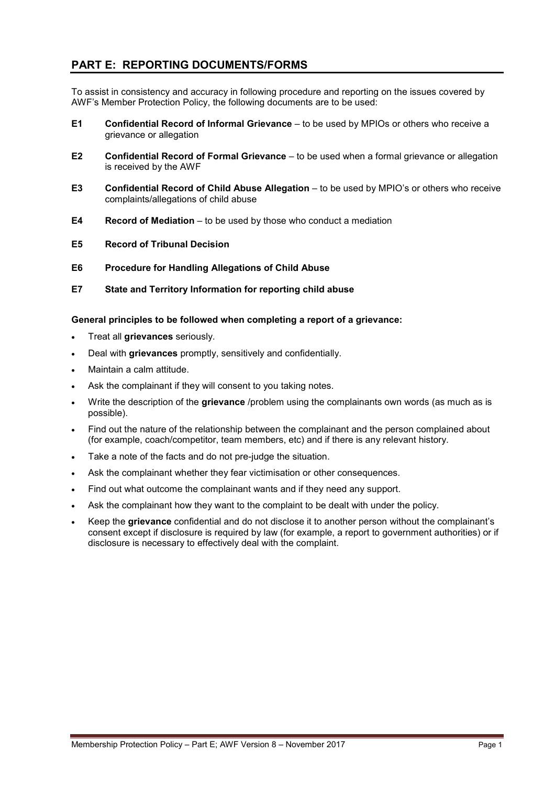# **PART E: REPORTING DOCUMENTS/FORMS**

To assist in consistency and accuracy in following procedure and reporting on the issues covered by AWF's Member Protection Policy, the following documents are to be used:

- **E1 Confidential Record of Informal Grievance** to be used by MPIOs or others who receive a grievance or allegation
- **E2 Confidential Record of Formal Grievance** to be used when a formal grievance or allegation is received by the AWF
- **E3 Confidential Record of Child Abuse Allegation** to be used by MPIO's or others who receive complaints/allegations of child abuse
- **E4 Record of Mediation** to be used by those who conduct a mediation
- **E5 Record of Tribunal Decision**
- **E6 Procedure for Handling Allegations of Child Abuse**
- **E7 State and Territory Information for reporting child abuse**

#### **General principles to be followed when completing a report of a grievance:**

- Treat all **grievances** seriously.
- Deal with **grievances** promptly, sensitively and confidentially.
- Maintain a calm attitude.
- Ask the complainant if they will consent to you taking notes.
- Write the description of the **grievance** /problem using the complainants own words (as much as is possible).
- Find out the nature of the relationship between the complainant and the person complained about (for example, coach/competitor, team members, etc) and if there is any relevant history.
- Take a note of the facts and do not pre-judge the situation.
- Ask the complainant whether they fear victimisation or other consequences.
- Find out what outcome the complainant wants and if they need any support.
- Ask the complainant how they want to the complaint to be dealt with under the policy.
- Keep the **grievance** confidential and do not disclose it to another person without the complainant's consent except if disclosure is required by law (for example, a report to government authorities) or if disclosure is necessary to effectively deal with the complaint.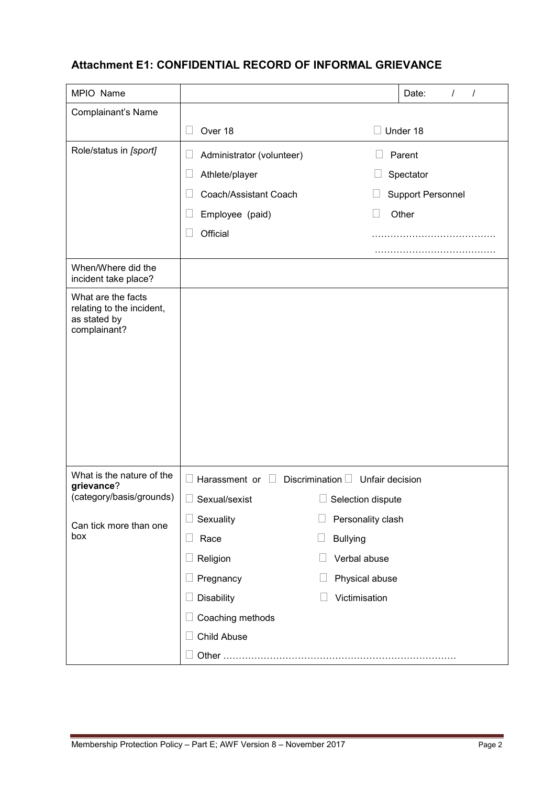# **Attachment E1: CONFIDENTIAL RECORD OF INFORMAL GRIEVANCE**

| MPIO Name                                                                       |                                     | Date:<br>$\prime$<br>$\prime$         |
|---------------------------------------------------------------------------------|-------------------------------------|---------------------------------------|
| Complainant's Name                                                              |                                     |                                       |
|                                                                                 | Over 18<br>LΙ                       | $\Box$ Under 18                       |
| Role/status in [sport]                                                          | Administrator (volunteer)<br>$\Box$ | Parent                                |
|                                                                                 | Athlete/player<br>$\Box$            | Spectator                             |
|                                                                                 | Coach/Assistant Coach               | <b>Support Personnel</b>              |
|                                                                                 | Employee (paid)                     | Other                                 |
|                                                                                 | Official                            |                                       |
|                                                                                 |                                     |                                       |
| When/Where did the<br>incident take place?                                      |                                     |                                       |
| What are the facts<br>relating to the incident,<br>as stated by<br>complainant? |                                     |                                       |
| What is the nature of the<br>grievance?                                         | Harassment or $\Box$                | Discrimination $\Box$ Unfair decision |
| (category/basis/grounds)                                                        | $\Box$<br>Sexual/sexist             | $\Box$ Selection dispute              |
| Can tick more than one                                                          | Sexuality                           | Personality clash                     |
| box                                                                             | Race                                | <b>Bullying</b>                       |
|                                                                                 | Religion                            | Verbal abuse                          |
|                                                                                 | Pregnancy                           | Physical abuse                        |
|                                                                                 | <b>Disability</b>                   | Victimisation                         |
|                                                                                 | Coaching methods                    |                                       |
|                                                                                 | Child Abuse                         |                                       |
|                                                                                 |                                     |                                       |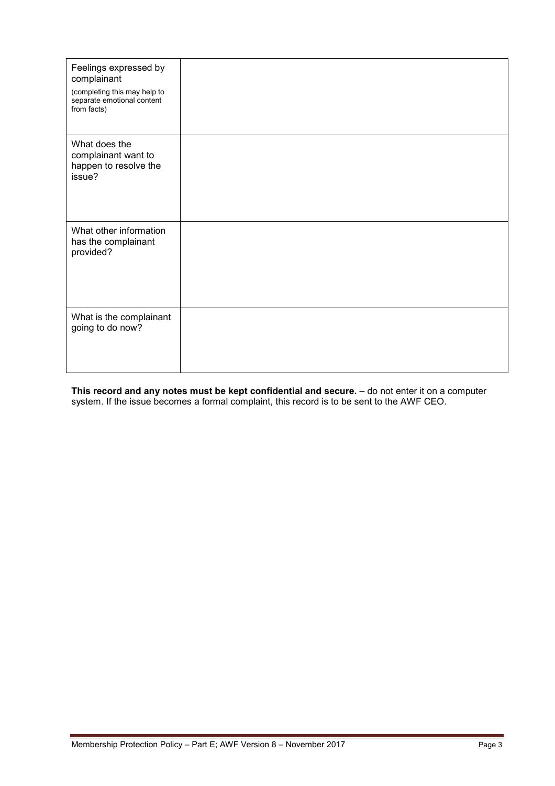| Feelings expressed by<br>complainant                                      |  |
|---------------------------------------------------------------------------|--|
| (completing this may help to<br>separate emotional content<br>from facts) |  |
| What does the<br>complainant want to<br>happen to resolve the<br>issue?   |  |
| What other information<br>has the complainant<br>provided?                |  |
| What is the complainant<br>going to do now?                               |  |

**This record and any notes must be kept confidential and secure.** – do not enter it on a computer system. If the issue becomes a formal complaint, this record is to be sent to the AWF CEO.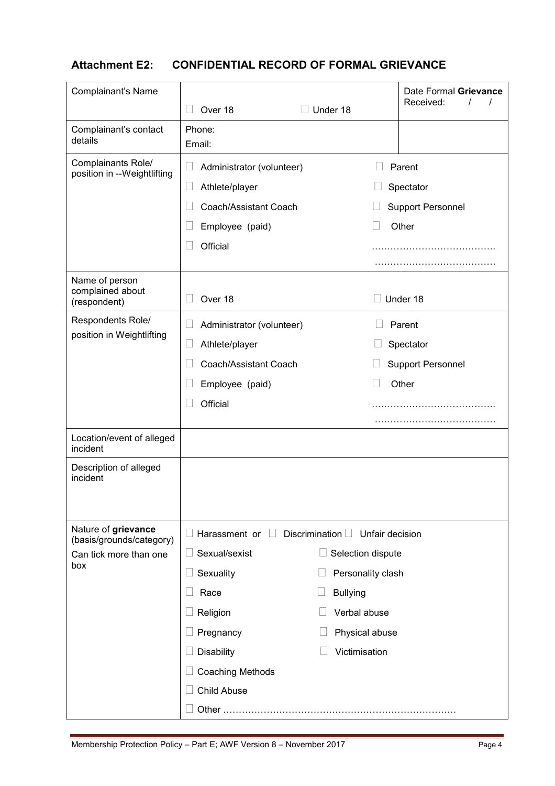# **Attachment E2: CONFIDENTIAL RECORD OF FORMAL GRIEVANCE**

| <b>Complainant's Name</b>                          |                                |                                             | Date Formal Grievance    |
|----------------------------------------------------|--------------------------------|---------------------------------------------|--------------------------|
|                                                    | Over 18                        | Under 18                                    | Received:                |
| Complainant's contact<br>details                   | Phone:<br>Email:               |                                             |                          |
| Complainants Role/<br>position in --Weightlifting  | Н<br>Administrator (volunteer) |                                             | Parent                   |
|                                                    | Athlete/player<br>$\Box$       |                                             | Spectator                |
|                                                    | Coach/Assistant Coach<br>L     |                                             | <b>Support Personnel</b> |
|                                                    | Employee (paid)                |                                             | Other                    |
|                                                    | Official                       |                                             | .                        |
|                                                    |                                |                                             |                          |
| Name of person<br>complained about<br>(respondent) | Over 18                        |                                             | Under 18                 |
| Respondents Role/                                  | Administrator (volunteer)      |                                             | Parent                   |
| position in Weightlifting                          | Athlete/player<br>L            |                                             | Spectator                |
|                                                    | Coach/Assistant Coach          |                                             | <b>Support Personnel</b> |
|                                                    | Employee (paid)                |                                             | Other                    |
|                                                    | Official                       |                                             |                          |
|                                                    |                                |                                             |                          |
| Location/event of alleged<br>incident              |                                |                                             |                          |
| Description of alleged<br>incident                 |                                |                                             |                          |
| Nature of grievance<br>(basis/grounds/category)    | Harassment or $\Box$           | Discrimination $\square$<br>Unfair decision |                          |
| Can tick more than one                             | Sexual/sexist                  | Selection dispute                           |                          |
| box                                                | Sexuality                      | Personality clash                           |                          |
|                                                    | Race                           | <b>Bullying</b>                             |                          |
|                                                    | Religion                       | Verbal abuse                                |                          |
|                                                    | Pregnancy                      | Physical abuse                              |                          |
|                                                    | <b>Disability</b>              | Victimisation                               |                          |
|                                                    | <b>Coaching Methods</b>        |                                             |                          |
|                                                    | <b>Child Abuse</b>             |                                             |                          |
|                                                    |                                |                                             |                          |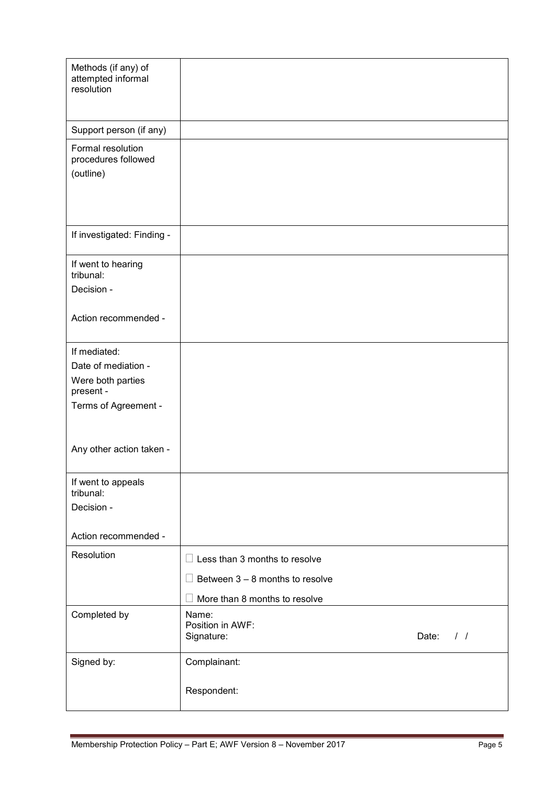| Methods (if any) of<br>attempted informal<br>resolution |                                               |  |
|---------------------------------------------------------|-----------------------------------------------|--|
|                                                         |                                               |  |
| Support person (if any)                                 |                                               |  |
| Formal resolution<br>procedures followed<br>(outline)   |                                               |  |
|                                                         |                                               |  |
| If investigated: Finding -                              |                                               |  |
| If went to hearing<br>tribunal:                         |                                               |  |
| Decision -                                              |                                               |  |
| Action recommended -                                    |                                               |  |
| If mediated:                                            |                                               |  |
| Date of mediation -                                     |                                               |  |
| Were both parties<br>present -                          |                                               |  |
| Terms of Agreement -                                    |                                               |  |
|                                                         |                                               |  |
| Any other action taken -                                |                                               |  |
| If went to appeals<br>tribunal:                         |                                               |  |
| Decision -                                              |                                               |  |
|                                                         |                                               |  |
| Action recommended -                                    |                                               |  |
| Resolution                                              | $\Box$ Less than 3 months to resolve          |  |
|                                                         | $\Box$ Between 3 – 8 months to resolve        |  |
|                                                         | More than 8 months to resolve                 |  |
| Completed by                                            | Name:                                         |  |
|                                                         | Position in AWF:<br>Date: $/ /$<br>Signature: |  |
| Signed by:                                              | Complainant:                                  |  |
|                                                         | Respondent:                                   |  |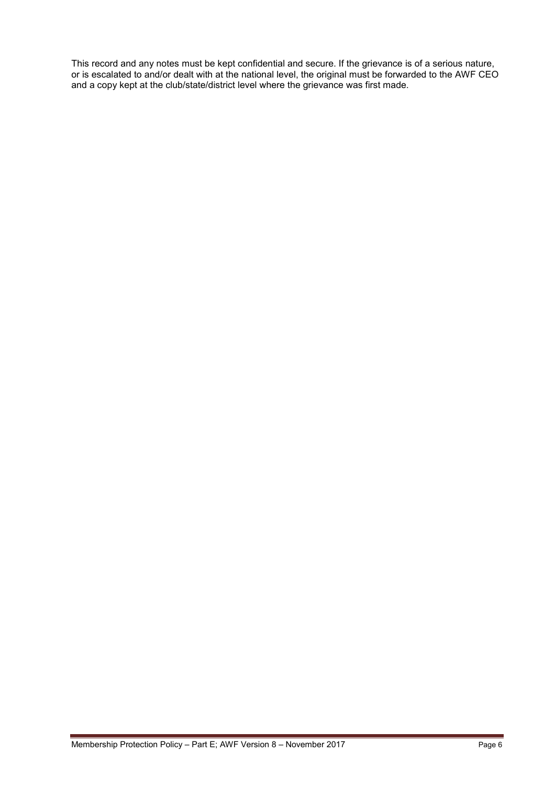This record and any notes must be kept confidential and secure. If the grievance is of a serious nature, or is escalated to and/or dealt with at the national level, the original must be forwarded to the AWF CEO and a copy kept at the club/state/district level where the grievance was first made.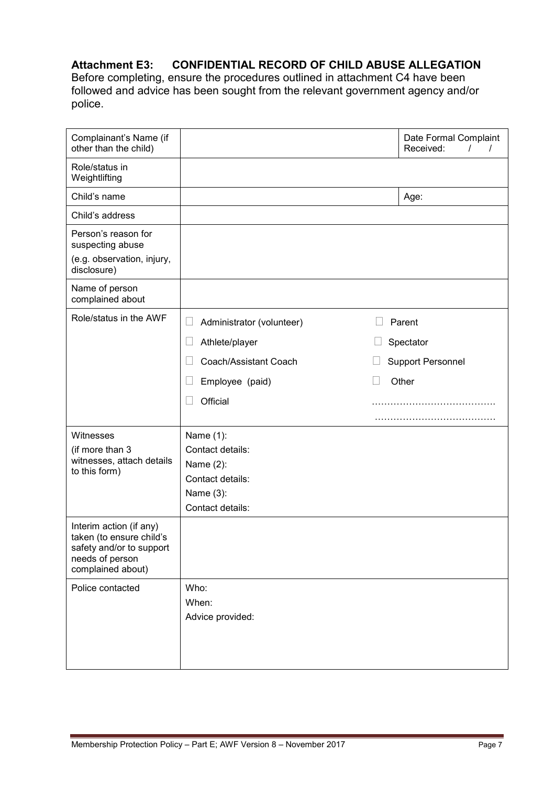# **Attachment E3: CONFIDENTIAL RECORD OF CHILD ABUSE ALLEGATION**

Before completing, ensure the procedures outlined in attachment C4 have been followed and advice has been sought from the relevant government agency and/or police.

| Complainant's Name (if<br>other than the child)                                                                         |                                     | Date Formal Complaint<br>Received:<br>$\prime$<br>$\prime$ |
|-------------------------------------------------------------------------------------------------------------------------|-------------------------------------|------------------------------------------------------------|
| Role/status in<br>Weightlifting                                                                                         |                                     |                                                            |
| Child's name                                                                                                            |                                     | Age:                                                       |
| Child's address                                                                                                         |                                     |                                                            |
| Person's reason for<br>suspecting abuse<br>(e.g. observation, injury,                                                   |                                     |                                                            |
| disclosure)                                                                                                             |                                     |                                                            |
| Name of person<br>complained about                                                                                      |                                     |                                                            |
| Role/status in the AWF                                                                                                  | Administrator (volunteer)<br>$\Box$ | Parent                                                     |
|                                                                                                                         | Athlete/player                      | Spectator                                                  |
|                                                                                                                         | Coach/Assistant Coach               | <b>Support Personnel</b>                                   |
|                                                                                                                         | Employee (paid)                     | Other                                                      |
|                                                                                                                         | Official                            |                                                            |
|                                                                                                                         |                                     |                                                            |
| Witnesses                                                                                                               | Name (1):                           |                                                            |
| (if more than 3                                                                                                         | Contact details:                    |                                                            |
| witnesses, attach details<br>to this form)                                                                              | Name (2):                           |                                                            |
|                                                                                                                         | Contact details:                    |                                                            |
|                                                                                                                         | Name (3):                           |                                                            |
|                                                                                                                         | Contact details:                    |                                                            |
| Interim action (if any)<br>taken (to ensure child's<br>safety and/or to support<br>needs of person<br>complained about) |                                     |                                                            |
| Police contacted                                                                                                        | Who:                                |                                                            |
|                                                                                                                         | When:                               |                                                            |
|                                                                                                                         | Advice provided:                    |                                                            |
|                                                                                                                         |                                     |                                                            |
|                                                                                                                         |                                     |                                                            |
|                                                                                                                         |                                     |                                                            |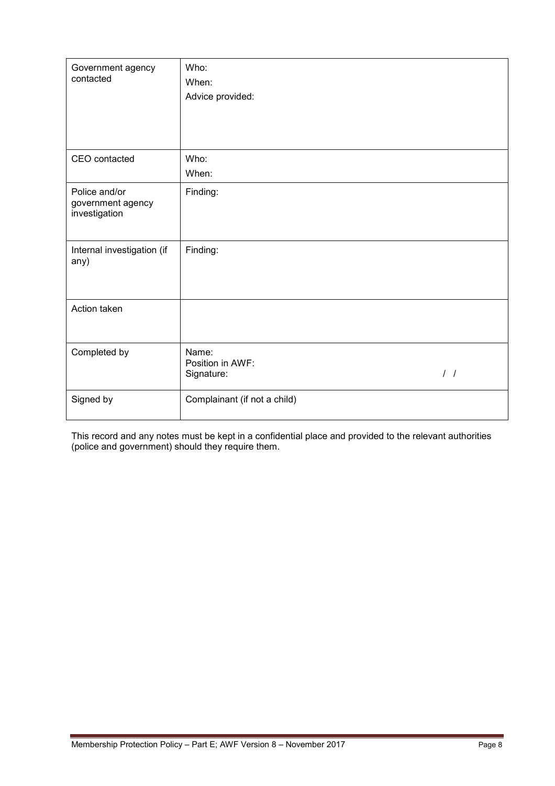| Government agency<br>contacted                      | Who:                         |  |
|-----------------------------------------------------|------------------------------|--|
|                                                     | When:                        |  |
|                                                     | Advice provided:             |  |
|                                                     |                              |  |
|                                                     |                              |  |
|                                                     |                              |  |
| CEO contacted                                       | Who:                         |  |
|                                                     | When:                        |  |
| Police and/or<br>government agency<br>investigation | Finding:                     |  |
|                                                     |                              |  |
| Internal investigation (if<br>any)                  | Finding:                     |  |
|                                                     |                              |  |
| Action taken                                        |                              |  |
|                                                     |                              |  |
| Completed by                                        | Name:                        |  |
|                                                     | Position in AWF:             |  |
|                                                     | $\frac{1}{2}$<br>Signature:  |  |
| Signed by                                           | Complainant (if not a child) |  |
|                                                     |                              |  |

This record and any notes must be kept in a confidential place and provided to the relevant authorities (police and government) should they require them.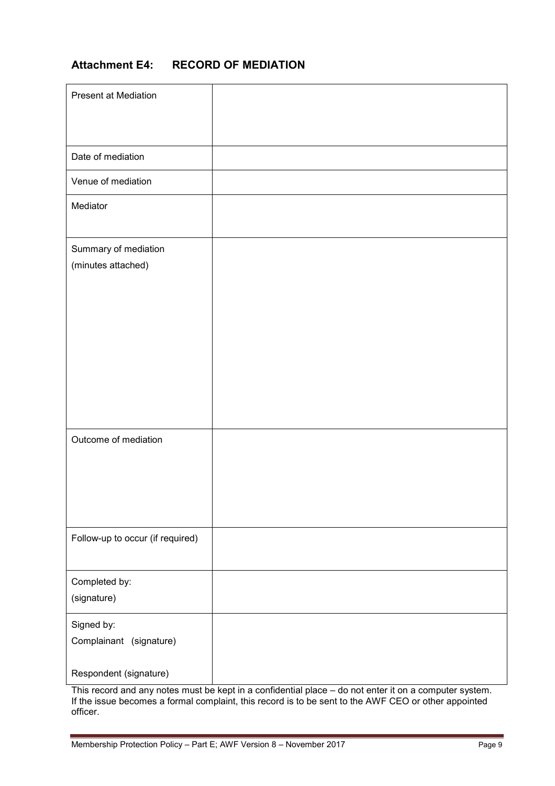# **Attachment E4: RECORD OF MEDIATION**

| <b>Present at Mediation</b>                |  |
|--------------------------------------------|--|
| Date of mediation                          |  |
| Venue of mediation                         |  |
| Mediator                                   |  |
| Summary of mediation<br>(minutes attached) |  |
|                                            |  |
| Outcome of mediation                       |  |
| Follow-up to occur (if required)           |  |
| Completed by:                              |  |
| (signature)                                |  |
| Signed by:<br>Complainant (signature)      |  |
| Respondent (signature)                     |  |

This record and any notes must be kept in a confidential place – do not enter it on a computer system. If the issue becomes a formal complaint, this record is to be sent to the AWF CEO or other appointed officer.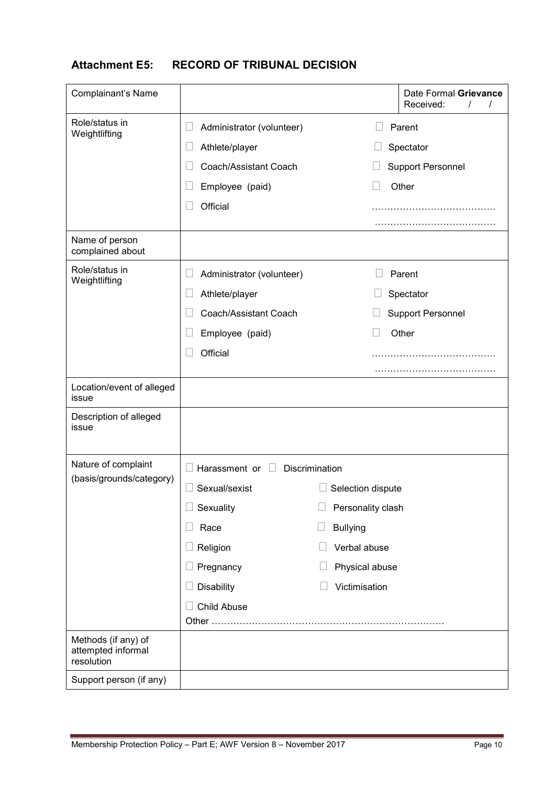# **Attachment E5: RECORD OF TRIBUNAL DECISION**

| <b>Complainant's Name</b>                               |                                           |                   | Date Formal Grievance<br>Received: |
|---------------------------------------------------------|-------------------------------------------|-------------------|------------------------------------|
| Role/status in<br>Weightlifting                         | Administrator (volunteer)                 |                   | Parent                             |
|                                                         | Athlete/player                            |                   | Spectator                          |
|                                                         | Coach/Assistant Coach                     |                   | <b>Support Personnel</b>           |
|                                                         | Employee (paid)                           |                   | Other                              |
|                                                         | Official                                  |                   | .                                  |
|                                                         |                                           |                   |                                    |
| Name of person<br>complained about                      |                                           |                   |                                    |
| Role/status in<br>Weightlifting                         | Administrator (volunteer)<br>L            |                   | Parent                             |
|                                                         | Athlete/player<br>L                       |                   | Spectator                          |
|                                                         | Coach/Assistant Coach                     |                   | <b>Support Personnel</b>           |
|                                                         | Employee (paid)                           |                   | Other                              |
|                                                         | Official                                  |                   |                                    |
|                                                         |                                           |                   |                                    |
| Location/event of alleged<br>issue                      |                                           |                   |                                    |
| Description of alleged<br>issue                         |                                           |                   |                                    |
| Nature of complaint                                     | Harassment or<br>Discrimination<br>$\Box$ |                   |                                    |
| (basis/grounds/category)                                | Sexual/sexist                             | Selection dispute |                                    |
|                                                         | Sexuality                                 | Personality clash |                                    |
|                                                         | Race                                      | <b>Bullying</b>   |                                    |
|                                                         | Religion                                  | Verbal abuse      |                                    |
|                                                         | Pregnancy                                 | Physical abuse    |                                    |
|                                                         | Disability                                | Victimisation     |                                    |
|                                                         | <b>Child Abuse</b>                        |                   |                                    |
|                                                         |                                           |                   |                                    |
| Methods (if any) of<br>attempted informal<br>resolution |                                           |                   |                                    |
| Support person (if any)                                 |                                           |                   |                                    |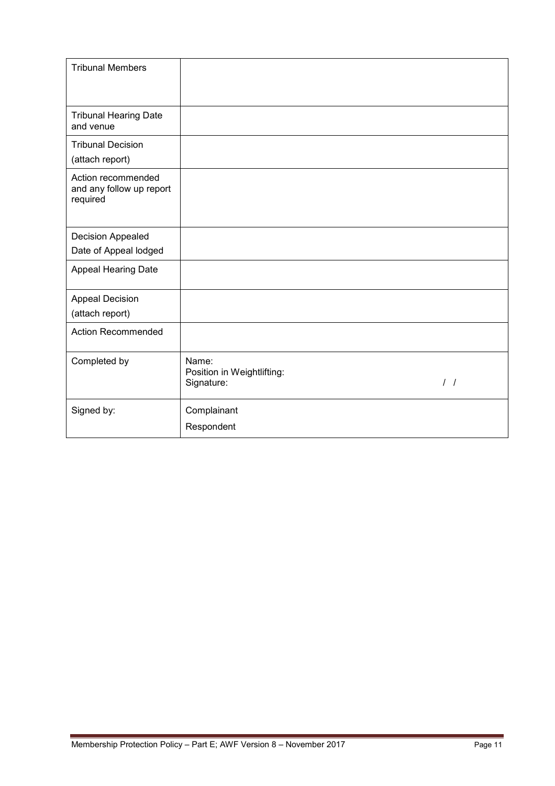| <b>Tribunal Members</b>                                    |                                                   |                  |
|------------------------------------------------------------|---------------------------------------------------|------------------|
| <b>Tribunal Hearing Date</b><br>and venue                  |                                                   |                  |
| <b>Tribunal Decision</b><br>(attach report)                |                                                   |                  |
| Action recommended<br>and any follow up report<br>required |                                                   |                  |
| Decision Appealed                                          |                                                   |                  |
| Date of Appeal lodged                                      |                                                   |                  |
| Appeal Hearing Date                                        |                                                   |                  |
| <b>Appeal Decision</b>                                     |                                                   |                  |
| (attach report)                                            |                                                   |                  |
| <b>Action Recommended</b>                                  |                                                   |                  |
| Completed by                                               | Name:<br>Position in Weightlifting:<br>Signature: | $\left  \right $ |
| Signed by:                                                 | Complainant                                       |                  |
|                                                            | Respondent                                        |                  |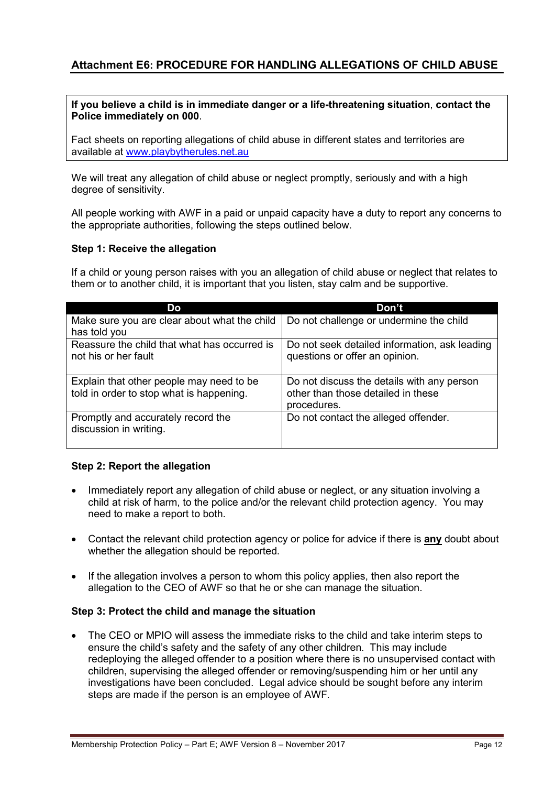# **Attachment E6: PROCEDURE FOR HANDLING ALLEGATIONS OF CHILD ABUSE**

#### **If you believe a child is in immediate danger or a life-threatening situation**, **contact the Police immediately on 000**.

Fact sheets on reporting allegations of child abuse in different states and territories are available at [www.playbytherules.net.au](http://www.playbytherules.net.au/)

We will treat any allegation of child abuse or neglect promptly, seriously and with a high degree of sensitivity.

All people working with AWF in a paid or unpaid capacity have a duty to report any concerns to the appropriate authorities, following the steps outlined below.

#### **Step 1: Receive the allegation**

If a child or young person raises with you an allegation of child abuse or neglect that relates to them or to another child, it is important that you listen, stay calm and be supportive.

| Do                                                                                   | Don't                                                                                           |
|--------------------------------------------------------------------------------------|-------------------------------------------------------------------------------------------------|
| Make sure you are clear about what the child<br>has told you                         | Do not challenge or undermine the child                                                         |
| Reassure the child that what has occurred is<br>not his or her fault                 | Do not seek detailed information, ask leading<br>questions or offer an opinion.                 |
| Explain that other people may need to be<br>told in order to stop what is happening. | Do not discuss the details with any person<br>other than those detailed in these<br>procedures. |
| Promptly and accurately record the<br>discussion in writing.                         | Do not contact the alleged offender.                                                            |

### **Step 2: Report the allegation**

- Immediately report any allegation of child abuse or neglect, or any situation involving a child at risk of harm, to the police and/or the relevant child protection agency. You may need to make a report to both.
- Contact the relevant child protection agency or police for advice if there is **any** doubt about whether the allegation should be reported.
- If the allegation involves a person to whom this policy applies, then also report the allegation to the CEO of AWF so that he or she can manage the situation.

### **Step 3: Protect the child and manage the situation**

• The CEO or MPIO will assess the immediate risks to the child and take interim steps to ensure the child's safety and the safety of any other children. This may include redeploying the alleged offender to a position where there is no unsupervised contact with children, supervising the alleged offender or removing/suspending him or her until any investigations have been concluded. Legal advice should be sought before any interim steps are made if the person is an employee of AWF*.*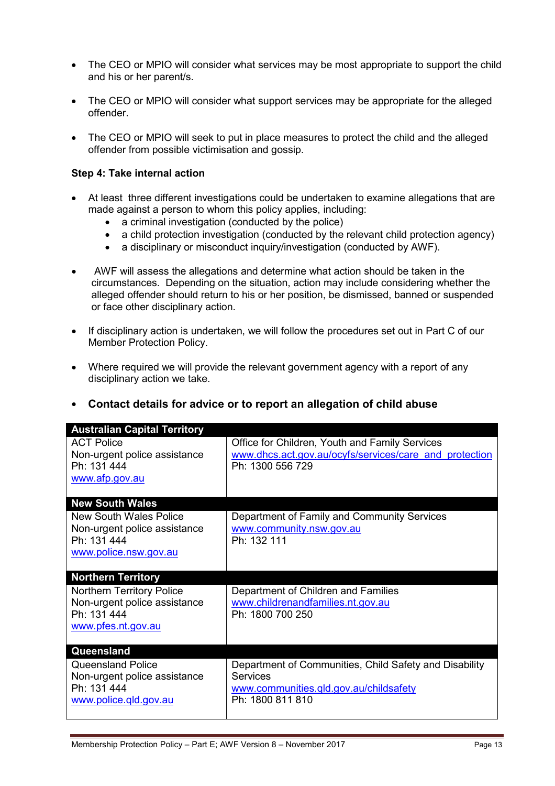- The CEO or MPIO will consider what services may be most appropriate to support the child and his or her parent/s.
- The CEO or MPIO will consider what support services may be appropriate for the alleged offender.
- The CEO or MPIO will seek to put in place measures to protect the child and the alleged offender from possible victimisation and gossip.

## **Step 4: Take internal action**

- At least three different investigations could be undertaken to examine allegations that are made against a person to whom this policy applies, including:
	- a criminal investigation (conducted by the police)
	- a child protection investigation (conducted by the relevant child protection agency)
	- a disciplinary or misconduct inquiry/investigation (conducted by AWF).
- AWF will assess the allegations and determine what action should be taken in the circumstances. Depending on the situation, action may include considering whether the alleged offender should return to his or her position, be dismissed, banned or suspended or face other disciplinary action.
- If disciplinary action is undertaken, we will follow the procedures set out in Part C of our Member Protection Policy.
- Where required we will provide the relevant government agency with a report of any disciplinary action we take.

|  | • Contact details for advice or to report an allegation of child abuse |  |  |  |  |
|--|------------------------------------------------------------------------|--|--|--|--|
|--|------------------------------------------------------------------------|--|--|--|--|

| <b>Australian Capital Territory</b>                                                                   |                                                                                                                                         |
|-------------------------------------------------------------------------------------------------------|-----------------------------------------------------------------------------------------------------------------------------------------|
| <b>ACT Police</b><br>Non-urgent police assistance<br>Ph: 131 444<br>www.afp.gov.au                    | Office for Children, Youth and Family Services<br>www.dhcs.act.gov.au/ocyfs/services/care and protection<br>Ph: 1300 556 729            |
| <b>New South Wales</b>                                                                                |                                                                                                                                         |
| <b>New South Wales Police</b><br>Non-urgent police assistance<br>Ph: 131 444<br>www.police.nsw.gov.au | Department of Family and Community Services<br>www.community.nsw.gov.au<br>Ph: 132 111                                                  |
| <b>Northern Territory</b>                                                                             |                                                                                                                                         |
| <b>Northern Territory Police</b><br>Non-urgent police assistance<br>Ph: 131 444<br>www.pfes.nt.gov.au | Department of Children and Families<br>www.childrenandfamilies.nt.gov.au<br>Ph: 1800 700 250                                            |
| Queensland                                                                                            |                                                                                                                                         |
| <b>Queensland Police</b><br>Non-urgent police assistance<br>Ph: 131 444<br>www.police.qld.gov.au      | Department of Communities, Child Safety and Disability<br><b>Services</b><br>www.communities.gld.gov.au/childsafety<br>Ph: 1800 811 810 |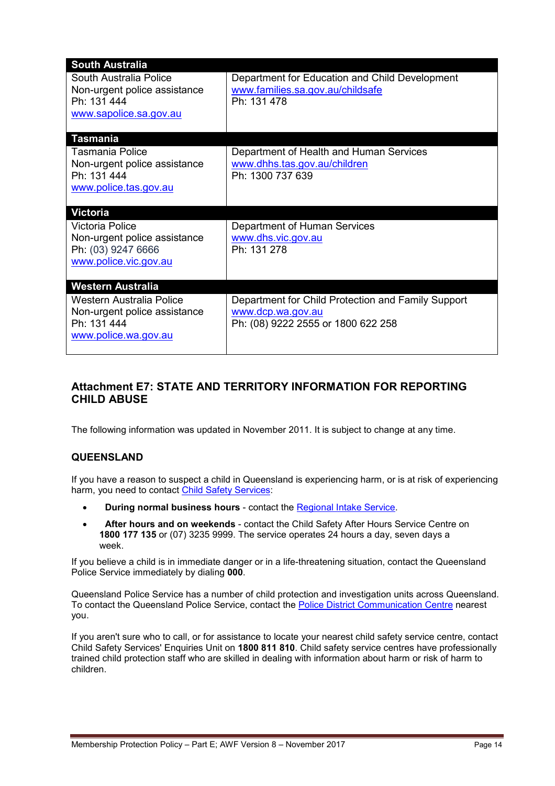| <b>South Australia</b>                                                                          |                                                                                                   |
|-------------------------------------------------------------------------------------------------|---------------------------------------------------------------------------------------------------|
| South Australia Police<br>Non-urgent police assistance<br>Ph: 131 444<br>www.sapolice.sa.gov.au | Department for Education and Child Development<br>www.families.sa.gov.au/childsafe<br>Ph: 131 478 |
| <b>Tasmania</b>                                                                                 |                                                                                                   |
| <b>Tasmania Police</b>                                                                          | Department of Health and Human Services                                                           |
| Non-urgent police assistance<br>Ph: 131 444                                                     | www.dhhs.tas.gov.au/children<br>Ph: 1300 737 639                                                  |
| www.police.tas.gov.au                                                                           |                                                                                                   |
|                                                                                                 |                                                                                                   |
| <b>Victoria</b>                                                                                 |                                                                                                   |
| <b>Victoria Police</b>                                                                          | Department of Human Services                                                                      |
| Non-urgent police assistance<br>Ph: (03) 9247 6666                                              | www.dhs.vic.gov.au<br>Ph: 131 278                                                                 |
| www.police.vic.gov.au                                                                           |                                                                                                   |
|                                                                                                 |                                                                                                   |
| <b>Western Australia</b>                                                                        |                                                                                                   |
| Western Australia Police                                                                        | Department for Child Protection and Family Support                                                |
| Non-urgent police assistance<br>Ph: 131 444                                                     | www.dcp.wa.gov.au<br>Ph: (08) 9222 2555 or 1800 622 258                                           |
| www.police.wa.gov.au                                                                            |                                                                                                   |
|                                                                                                 |                                                                                                   |

# **Attachment E7: STATE AND TERRITORY INFORMATION FOR REPORTING CHILD ABUSE**

The following information was updated in November 2011. It is subject to change at any time.

# **QUEENSLAND**

If you have a reason to suspect a child in Queensland is experiencing harm, or is at risk of experiencing harm, you need to contact [Child Safety Services:](http://www.communities.qld.gov.au/childsafety/about-us/contact-us)

- **During normal business hours** contact the [Regional Intake Service.](http://www.communities.qld.gov.au/childsafety/about-us/contact-us/child-safety-service-centres/regional-intake-services)
- **After hours and on weekends** contact the Child Safety After Hours Service Centre on **1800 177 135** or (07) 3235 9999. The service operates 24 hours a day, seven days a week.

If you believe a child is in immediate danger or in a life-threatening situation, contact the Queensland Police Service immediately by dialing **000**.

Queensland Police Service has a number of child protection and investigation units across Queensland. To contact the Queensland Police Service, contact the [Police District Communication Centre](http://www.police.qld.gov.au/forms/contact.asp#districtComms) nearest you.

If you aren't sure who to call, or for assistance to locate your nearest child safety service centre, contact Child Safety Services' Enquiries Unit on **1800 811 810**. Child safety service centres have professionally trained child protection staff who are skilled in dealing with information about harm or risk of harm to children.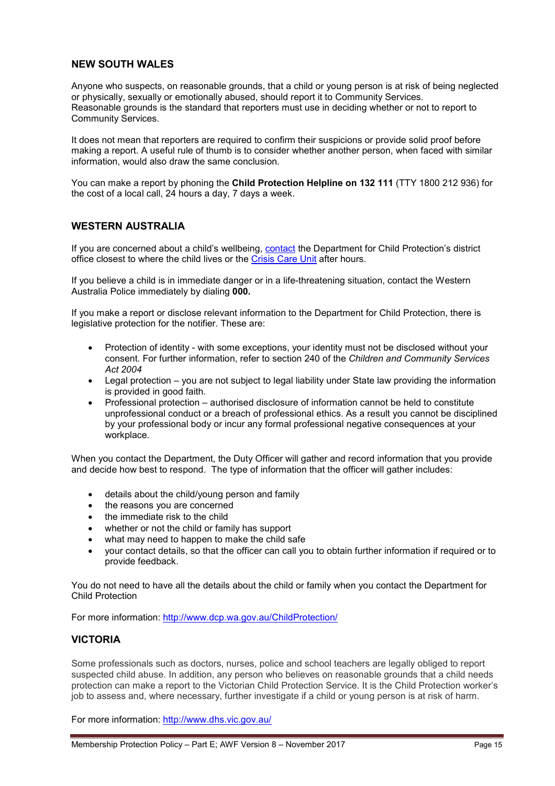#### **NEW SOUTH WALES**

Anyone who suspects, on reasonable grounds, that a child or young person is at risk of being neglected or physically, sexually or emotionally abused, should report it to Community Services. Reasonable grounds is the standard that reporters must use in deciding whether or not to report to Community Services.

It does not mean that reporters are required to confirm their suspicions or provide solid proof before making a report. A useful rule of thumb is to consider whether another person, when faced with similar information, would also draw the same conclusion.

You can make a report by phoning the **Child Protection Helpline on 132 111** (TTY 1800 212 936) for the cost of a local call, 24 hours a day, 7 days a week.

### **WESTERN AUSTRALIA**

If you are concerned about a child's wellbeing, [contact](http://www.dcp.wa.gov.au/Organisation/ContactUs/Pages/ContactUs.aspx) the Department for Child Protection's district office closest to where the child lives or the [Crisis Care Unit](http://www.dcp.wa.gov.au/Organisation/ContactUs/Pages/ContactUs.aspx) after hours.

If you believe a child is in immediate danger or in a life-threatening situation, contact the Western Australia Police immediately by dialing **000.**

If you make a report or disclose relevant information to the Department for Child Protection, there is legislative protection for the notifier. These are:

- Protection of identity with some exceptions, your identity must not be disclosed without your consent. For further information, refer to section 240 of the *Children and Community Services Act 2004*
- Legal protection you are not subject to legal liability under State law providing the information is provided in good faith.
- Professional protection authorised disclosure of information cannot be held to constitute unprofessional conduct or a breach of professional ethics. As a result you cannot be disciplined by your professional body or incur any formal professional negative consequences at your workplace.

When you contact the Department, the Duty Officer will gather and record information that you provide and decide how best to respond. The type of information that the officer will gather includes:

- details about the child/young person and family
- the reasons you are concerned
- the immediate risk to the child
- whether or not the child or family has support
- what may need to happen to make the child safe
- your contact details, so that the officer can call you to obtain further information if required or to provide feedback.

You do not need to have all the details about the child or family when you contact the Department for Child Protection

For more information:<http://www.dcp.wa.gov.au/ChildProtection/>

#### **VICTORIA**

Some professionals such as doctors, nurses, police and school teachers are legally obliged to report suspected child abuse. In addition, any person who believes on reasonable grounds that a child needs protection can make a report to the Victorian Child Protection Service. It is the Child Protection worker's job to assess and, where necessary, further investigate if a child or young person is at risk of harm.

For more information:<http://www.dhs.vic.gov.au/>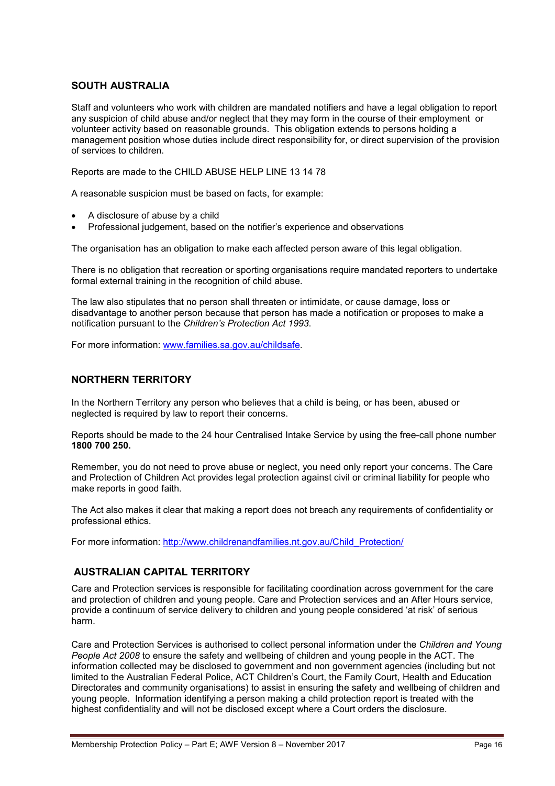## **SOUTH AUSTRALIA**

Staff and volunteers who work with children are mandated notifiers and have a legal obligation to report any suspicion of child abuse and/or neglect that they may form in the course of their employment or volunteer activity based on reasonable grounds. This obligation extends to persons holding a management position whose duties include direct responsibility for, or direct supervision of the provision of services to children.

Reports are made to the CHILD ABUSE HELP LINE 13 14 78

A reasonable suspicion must be based on facts, for example:

- A disclosure of abuse by a child
- Professional judgement, based on the notifier's experience and observations

The organisation has an obligation to make each affected person aware of this legal obligation.

There is no obligation that recreation or sporting organisations require mandated reporters to undertake formal external training in the recognition of child abuse.

The law also stipulates that no person shall threaten or intimidate, or cause damage, loss or disadvantage to another person because that person has made a notification or proposes to make a notification pursuant to the *Children's Protection Act 1993*.

For more information: [www.families.sa.gov.au/childsafe.](http://www.families.sa.gov.au/childsafe)

### **NORTHERN TERRITORY**

In the Northern Territory any person who believes that a child is being, or has been, abused or neglected is required by law to report their concerns.

Reports should be made to the 24 hour Centralised Intake Service by using the free-call phone number **1800 700 250.**

Remember, you do not need to prove abuse or neglect, you need only report your concerns. The Care and Protection of Children Act provides legal protection against civil or criminal liability for people who make reports in good faith.

The Act also makes it clear that making a report does not breach any requirements of confidentiality or professional ethics.

For more information: [http://www.childrenandfamilies.nt.gov.au/Child\\_Protection/](http://www.childrenandfamilies.nt.gov.au/Child_Protection/)

### **AUSTRALIAN CAPITAL TERRITORY**

Care and Protection services is responsible for facilitating coordination across government for the care and protection of children and young people. Care and Protection services and an After Hours service, provide a continuum of service delivery to children and young people considered 'at risk' of serious harm.

Care and Protection Services is authorised to collect personal information under the *Children and Young People Act 2008* to ensure the safety and wellbeing of children and young people in the ACT. The information collected may be disclosed to government and non government agencies (including but not limited to the Australian Federal Police, ACT Children's Court, the Family Court, Health and Education Directorates and community organisations) to assist in ensuring the safety and wellbeing of children and young people. Information identifying a person making a child protection report is treated with the highest confidentiality and will not be disclosed except where a Court orders the disclosure.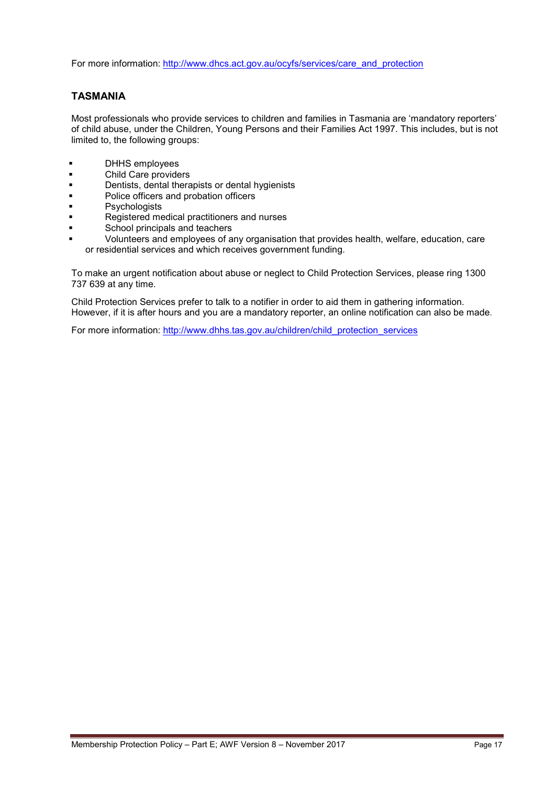For more information: [http://www.dhcs.act.gov.au/ocyfs/services/care\\_and\\_protection](http://www.dhcs.act.gov.au/ocyfs/services/care_and_protection)

# **TASMANIA**

Most professionals who provide services to children and families in Tasmania are 'mandatory reporters' of child abuse, under the Children, Young Persons and their Families Act 1997. This includes, but is not limited to, the following groups:

- **DHHS** employees
- **Child Care providers**
- **Dentists, dental therapists or dental hygienists**
- **•** Police officers and probation officers
- Psychologists
- Registered medical practitioners and nurses
- School principals and teachers
	- Volunteers and employees of any organisation that provides health, welfare, education, care or residential services and which receives government funding.

To make an urgent notification about abuse or neglect to Child Protection Services, please ring 1300 737 639 at any time.

Child Protection Services prefer to talk to a notifier in order to aid them in gathering information. However, if it is after hours and you are a mandatory reporter, an online notification can also be made.

For more information: [http://www.dhhs.tas.gov.au/children/child\\_protection\\_services](http://www.dhhs.tas.gov.au/children/child_protection_services)